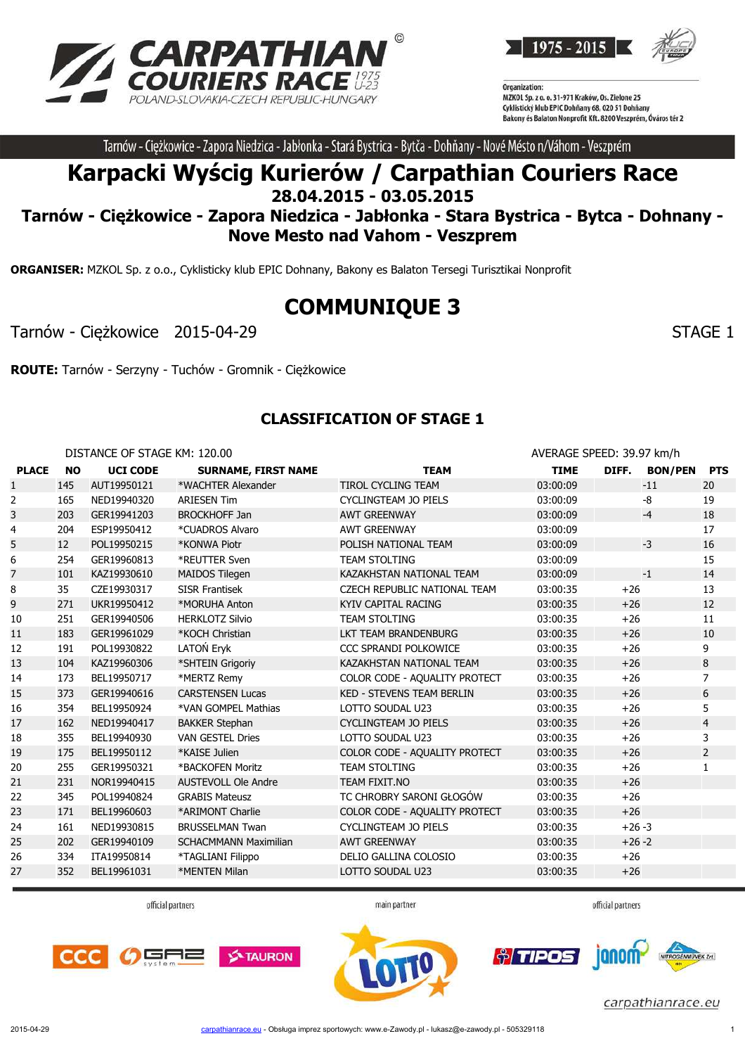



Tarnów - Ciężkowice - Zapora Niedzica - Jabłonka - Stará Bystrica - Bytča - Dohňany - Nové Mésto n/Váhom - Veszprém

# **Karpacki Wyścig Kurierów / Carpathian Couriers Race 28.04.2015 - 03.05.2015**

# **Tarnów - Ciężkowice - Zapora Niedzica - Jabłonka - Stara Bystrica - Bytca - Dohnany - Nove Mesto nad Vahom - Veszprem**

**ORGANISER:** MZKOL Sp. z o.o., Cyklisticky klub EPIC Dohnany, Bakony es Balaton Tersegi Turisztikai Nonprofit

# **COMMUNIQUE 3**

Tarnów - Ciężkowice 2015-04-29 STAGE 1

**ROUTE:** Tarnów - Serzyny - Tuchów - Gromnik - Ciężkowice

#### **CLASSIFICATION OF STAGE 1**

DISTANCE OF STAGE KM: 120.00 **AVERAGE SPEED: 39.97 km/h PLACE NO UCI CODE SURNAME, FIRST NAME TEAM TIME DIFF. BON/PEN PTS** 1 145 AUT19950121 \*WACHTER Alexander TIROL CYCLING TEAM 03:00:09 -11 20 165 NED19940320 ARIESEN Tim CYCLINGTEAM JO PIELS 03:00:09 -8 19 3 203 GER19941203 BROCKHOFF Jan AWT GREENWAY 03:00:09 18 204 ESP19950412 \*CUADROS Alvaro AWT GREENWAY 03:00:09 17 12 POL19950215 \*KONWA Piotr POLISH NATIONAL TEAM 03:00:09 -3 16 254 GER19960813 \*REUTTER Sven TEAM STOLTING 03:00:09 15 7 101 KAZ19930610 MAIDOS Tilegen KAZAKHSTAN NATIONAL TFAM 03:00:09 -1 14 35 CZE19930317 SISR Frantisek CZECH REPUBLIC NATIONAL TEAM 03:00:35 +26 13 271 UKR19950412 \*MORUHA Anton KYIV CAPITAL RACING 03:00:35 +26 12 251 GER19940506 HERKLOTZ Silvio TEAM STOLTING 03:00:35 +26 11 183 GER19961029 \*KOCH Christian LKT TEAM BRANDENBURG 03:00:35 +26 10 12 191 POL19930822 LATOŃ Eryk CCC SPRANDI POLKOWICE 03:00:35 +26 9 104 KAZ19960306 \*SHTEIN Grigoriy KAZAKHSTAN NATIONAL TEAM 03:00:35 +26 8 173 BEL19950717 \*MERTZ Remy COLOR CODE - AQUALITY PROTECT 03:00:35 +26 7 373 GER19940616 CARSTENSEN Lucas KED - STEVENS TEAM BERLIN 03:00:35 +26 6 354 BEL19950924 \*VAN GOMPEL Mathias LOTTO SOUDAL U23 03:00:35 +26 5 162 NED19940417 BAKKER Stephan CYCLINGTEAM JO PIELS 03:00:35 +26 4 355 BEL19940930 VAN GESTEL Dries LOTTO SOUDAL U23 03:00:35 +26 3 175 BEL19950112 \*KAISE Julien COLOR CODE - AQUALITY PROTECT 03:00:35 +26 2 20 255 GER19950321 \*BACKOFEN Moritz TEAM STOLTING 1 03:00:35 +26 1 231 NOR19940415 AUSTEVOLL Ole Andre TEAM FIXIT.NO 03:00:35 +26 345 POL19940824 GRABIS Mateusz TC CHROBRY SARONI GŁOGÓW 03:00:35 +26 171 BEL19960603 \*ARIMONT Charlie COLOR CODE - AQUALITY PROTECT 03:00:35 +26 161 NED19930815 BRUSSELMAN Twan CYCLINGTEAM JO PIELS 03:00:35 +26 -3 202 GER19940109 SCHACMMANN Maximilian AWT GREENWAY 03:00:35 +26 -2 334 ITA19950814 \*TAGLIANI Filippo DELIO GALLINA COLOSIO 03:00:35 +26 27 352 BEL19961031 \*MENTEN Milan LOTTO SOUDAL U23 03:00:35 +26

official partners

main partner

official partners

ianom

*<u>olimpos</u>* 





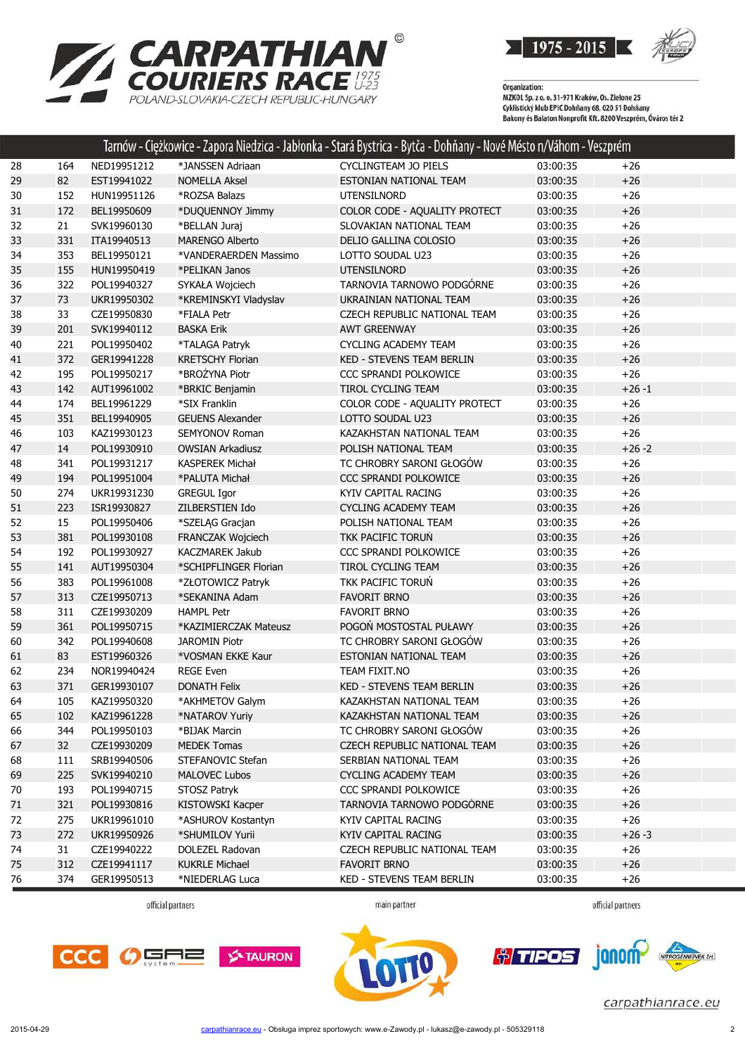

**RPATHIAN<sup>®</sup><br>RIERS RACE <sup>1975</sup><br>OVAKIA-CZECH REPUBLIC-HUNGARY Z** CA POLAND-SLOVAKIA-CZECH REPUBLIC-HUNGARY

Organization:<br>MZKOL Sp. z o. o. 31-971 Kraków, Os. Zielone 25<br>MZKUL SLL: LL: FRIC D. bărev CO. 020 EL D. băr Cyklistický klub EPIC Dohňany 68, 020 51 Dohňany<br>Cyklistický klub EPIC Dohňany 68, 020 51 Dohňany<br>Bakony és Balaton Nonprofit Kft. 8200 Veszprém, Óváros tér 2

| *JANSSEN Adriaan<br>CYCLINGTEAM JO PIELS<br>03:00:35<br>28<br>164<br>NED19951212                 |           |
|--------------------------------------------------------------------------------------------------|-----------|
|                                                                                                  | $+26$     |
| 29<br>82<br>EST19941022<br><b>NOMELLA Aksel</b><br>ESTONIAN NATIONAL TEAM<br>03:00:35            | $+26$     |
| 152<br>03:00:35<br>30<br>HUN19951126<br>*ROZSA Balazs<br>UTENSILNORD                             | $+26$     |
| COLOR CODE - AQUALITY PROTECT<br>31<br>172<br>BEL19950609<br>*DUQUENNOY Jimmy<br>03:00:35        | $+26$     |
| 32<br>21<br>SVK19960130<br>*BELLAN Juraj<br>SLOVAKIAN NATIONAL TEAM<br>03:00:35                  | $+26$     |
| 33<br>331<br>ITA19940513<br><b>MARENGO Alberto</b><br>DELIO GALLINA COLOSIO<br>03:00:35          | $+26$     |
| 34<br>353<br>BEL19950121<br>*VANDERAERDEN Massimo<br>LOTTO SOUDAL U23<br>03:00:35                | $+26$     |
| 35<br>155<br>HUN19950419<br>*PELIKAN Janos<br><b>UTENSILNORD</b><br>03:00:35                     | $+26$     |
| TARNOVIA TARNOWO PODGÓRNE<br>322<br>36<br>POL19940327<br>SYKAŁA Wojciech<br>03:00:35             | $+26$     |
| 73<br>37<br>UKR19950302<br>*KREMINSKYI Vladyslav<br>UKRAINIAN NATIONAL TEAM<br>03:00:35          | $+26$     |
| 33<br>03:00:35<br>38<br>CZE19950830<br>*FIALA Petr<br>CZECH REPUBLIC NATIONAL TEAM               | $+26$     |
| 39<br><b>BASKA Erik</b><br>201<br>SVK19940112<br><b>AWT GREENWAY</b><br>03:00:35                 | $+26$     |
| 40<br>221<br>POL19950402<br>*TALAGA Patryk<br>CYCLING ACADEMY TEAM<br>03:00:35                   | $+26$     |
| 41<br>372<br>GER19941228<br><b>KRETSCHY Florian</b><br>KED - STEVENS TEAM BERLIN<br>03:00:35     | $+26$     |
| *BROŻYNA Piotr<br>195<br>42<br>POL19950217<br>CCC SPRANDI POLKOWICE<br>03:00:35                  | $+26$     |
| 43<br>142<br>AUT19961002<br>*BRKIC Benjamin<br>TIROL CYCLING TEAM<br>03:00:35                    | $+26 - 1$ |
| 44<br>174<br>BEL19961229<br>*SIX Franklin<br>COLOR CODE - AQUALITY PROTECT<br>03:00:35           | $+26$     |
| 45<br>351<br>LOTTO SOUDAL U23<br>03:00:35<br>BEL19940905<br><b>GEUENS Alexander</b>              | $+26$     |
| 46<br>103<br>KAZAKHSTAN NATIONAL TEAM<br>03:00:35<br>KAZ19930123<br><b>SEMYONOV Roman</b>        | $+26$     |
| 14<br>47<br>POL19930910<br>POLISH NATIONAL TEAM<br>03:00:35<br><b>OWSIAN Arkadiusz</b>           | $+26 - 2$ |
| TC CHROBRY SARONI GŁOGÓW<br>03:00:35<br>48<br>341<br>POL19931217<br><b>KASPEREK Michał</b>       | $+26$     |
| 49<br>194<br>POL19951004<br>*PALUTA Michał<br>CCC SPRANDI POLKOWICE<br>03:00:35                  | $+26$     |
| 50<br>274<br>03:00:35<br>UKR19931230<br><b>GREGUL Igor</b><br>KYIV CAPITAL RACING                | $+26$     |
| 51<br>223<br>ISR19930827<br>ZILBERSTIEN Ido<br>CYCLING ACADEMY TEAM<br>03:00:35                  | $+26$     |
| 52<br>15<br>03:00:35<br>POL19950406<br>*SZELĄG Gracjan<br>POLISH NATIONAL TEAM                   | $+26$     |
| 53<br>381<br>FRANCZAK Wojciech<br>TKK PACIFIC TORUŃ<br>03:00:35<br>POL19930108                   | $+26$     |
| 54<br>192<br>POL19930927<br>KACZMAREK Jakub<br>CCC SPRANDI POLKOWICE<br>03:00:35                 | $+26$     |
| 55<br>TIROL CYCLING TEAM<br>141<br>AUT19950304<br>*SCHIPFLINGER Florian<br>03:00:35              | $+26$     |
| 56<br>383<br>*ZŁOTOWICZ Patryk<br>TKK PACIFIC TORUN<br>03:00:35<br>POL19961008                   | $+26$     |
| 57<br>313<br>CZE19950713<br>*SEKANINA Adam<br><b>FAVORIT BRNO</b><br>03:00:35                    | $+26$     |
| 311<br>58<br>CZE19930209<br><b>HAMPL Petr</b><br><b>FAVORIT BRNO</b><br>03:00:35                 | $+26$     |
| 59<br>361<br>POGOŃ MOSTOSTAL PUŁAWY<br>POL19950715<br>*KAZIMIERCZAK Mateusz<br>03:00:35          | $+26$     |
| TC CHROBRY SARONI GŁOGÓW<br>03:00:35<br>60<br>342<br>POL19940608<br><b>JAROMIN Piotr</b>         | $+26$     |
| 83<br>*VOSMAN EKKE Kaur<br>03:00:35<br>61<br>EST19960326<br>ESTONIAN NATIONAL TEAM               | $+26$     |
| 62<br>234<br><b>REGE Even</b><br>TEAM FIXIT.NO<br>03:00:35<br>NOR19940424                        | $+26$     |
| 63<br>371<br>GER19930107<br><b>KED - STEVENS TEAM BERLIN</b><br>03:00:35<br><b>DONATH Felix</b>  | $+26$     |
| 105<br>KAZ19950320<br>*AKHMETOV Galym<br>KAZAKHSTAN NATIONAL TEAM<br>03:00:35<br>64              | $+26$     |
| 03:00:35<br>65<br>102<br>KAZ19961228<br>*NATAROV Yuriy<br>KAZAKHSTAN NATIONAL TEAM               | $+26$     |
| TC CHROBRY SARONI GŁOGÓW<br>66<br>344<br>POL19950103<br>*BIJAK Marcin<br>03:00:35                | $+26$     |
| 32<br>67<br>CZE19930209<br><b>MEDEK Tomas</b><br><b>CZECH REPUBLIC NATIONAL TEAM</b><br>03:00:35 | $+26$     |
| 68<br>111<br>SRB19940506<br>STEFANOVIC Stefan<br>SERBIAN NATIONAL TEAM<br>03:00:35               | $+26$     |
| 225<br>69<br>SVK19940210<br><b>MALOVEC Lubos</b><br><b>CYCLING ACADEMY TEAM</b><br>03:00:35      | $+26$     |
| 70<br>193<br>POL19940715<br>STOSZ Patryk<br>CCC SPRANDI POLKOWICE<br>03:00:35                    | $+26$     |
| 321<br>KISTOWSKI Kacper<br>71<br>POL19930816<br>TARNOVIA TARNOWO PODGÓRNE<br>03:00:35            | $+26$     |
| 72<br>275<br>*ASHUROV Kostantyn<br>UKR19961010<br>KYIV CAPITAL RACING<br>03:00:35                | $+26$     |
| 73<br>272<br>UKR19950926<br>*SHUMILOV Yurii<br>KYIV CAPITAL RACING<br>03:00:35                   | $+26 - 3$ |
| 74<br>31<br>CZE19940222<br>03:00:35<br>DOLEZEL Radovan<br>CZECH REPUBLIC NATIONAL TEAM           | $+26$     |
| 312<br>75<br><b>KUKRLE Michael</b><br>CZE19941117<br><b>FAVORIT BRNO</b><br>03:00:35             | $+26$     |
| 76<br>374<br>GER19950513<br>*NIEDERLAG Luca<br>KED - STEVENS TEAM BERLIN<br>03:00:35             | $+26$     |

official partners

main partner

official partners





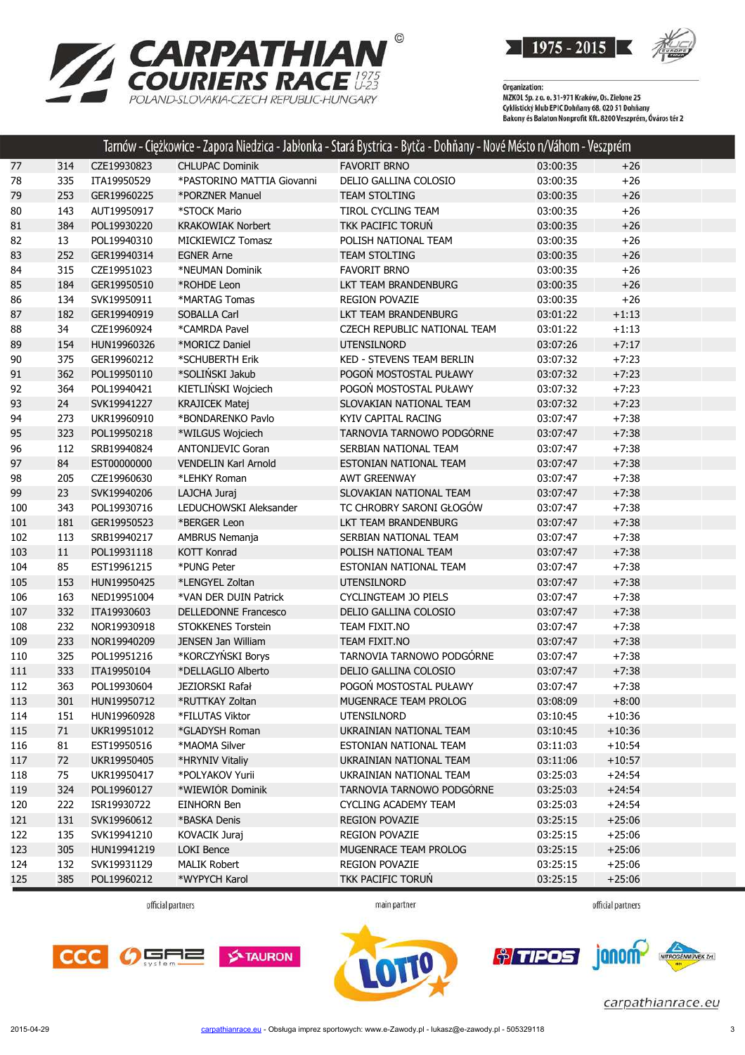



|     |     |             |                             | Tarnów - Ciężkowice - Zapora Niedzica - Jabłonka - Stará Bystrica - Bytča - Dohňany - Nové Mésto n/Váhom - Veszprém |          |          |  |
|-----|-----|-------------|-----------------------------|---------------------------------------------------------------------------------------------------------------------|----------|----------|--|
| 77  | 314 | CZE19930823 | <b>CHLUPAC Dominik</b>      | <b>FAVORIT BRNO</b>                                                                                                 | 03:00:35 | $+26$    |  |
| 78  | 335 | ITA19950529 | *PASTORINO MATTIA Giovanni  | DELIO GALLINA COLOSIO                                                                                               | 03:00:35 | $+26$    |  |
| 79  | 253 | GER19960225 | *PORZNER Manuel             | TEAM STOLTING                                                                                                       | 03:00:35 | $+26$    |  |
| 80  | 143 | AUT19950917 | *STOCK Mario                | TIROL CYCLING TEAM                                                                                                  | 03:00:35 | $+26$    |  |
| 81  | 384 | POL19930220 | <b>KRAKOWIAK Norbert</b>    | TKK PACIFIC TORUN                                                                                                   | 03:00:35 | $+26$    |  |
| 82  | 13  | POL19940310 | MICKIEWICZ Tomasz           | POLISH NATIONAL TEAM                                                                                                | 03:00:35 | $+26$    |  |
| 83  | 252 | GER19940314 | <b>EGNER Arne</b>           | <b>TEAM STOLTING</b>                                                                                                | 03:00:35 | $+26$    |  |
| 84  | 315 | CZE19951023 | *NEUMAN Dominik             | <b>FAVORIT BRNO</b>                                                                                                 | 03:00:35 | $+26$    |  |
| 85  | 184 | GER19950510 | *ROHDE Leon                 | LKT TEAM BRANDENBURG                                                                                                | 03:00:35 | $+26$    |  |
| 86  | 134 | SVK19950911 | *MARTAG Tomas               | REGION POVAZIE                                                                                                      | 03:00:35 | $+26$    |  |
| 87  | 182 | GER19940919 | SOBALLA Carl                | LKT TEAM BRANDENBURG                                                                                                | 03:01:22 | $+1:13$  |  |
| 88  | 34  | CZE19960924 | *CAMRDA Pavel               | CZECH REPUBLIC NATIONAL TEAM                                                                                        | 03:01:22 | $+1:13$  |  |
| 89  | 154 | HUN19960326 | *MORICZ Daniel              | <b>UTENSILNORD</b>                                                                                                  | 03:07:26 | $+7:17$  |  |
| 90  | 375 | GER19960212 | *SCHUBERTH Erik             | KED - STEVENS TEAM BERLIN                                                                                           | 03:07:32 | $+7:23$  |  |
| 91  | 362 | POL19950110 | *SOLIŃSKI Jakub             | POGOŃ MOSTOSTAL PUŁAWY                                                                                              | 03:07:32 | $+7:23$  |  |
| 92  | 364 | POL19940421 | KIETLIŃSKI Wojciech         | POGON MOSTOSTAL PUŁAWY                                                                                              | 03:07:32 | $+7:23$  |  |
| 93  | 24  | SVK19941227 | <b>KRAJICEK Matej</b>       | SLOVAKIAN NATIONAL TEAM                                                                                             | 03:07:32 | $+7:23$  |  |
| 94  | 273 | UKR19960910 | *BONDARENKO Pavlo           | KYIV CAPITAL RACING                                                                                                 | 03:07:47 | $+7:38$  |  |
| 95  | 323 | POL19950218 | *WILGUS Wojciech            | TARNOVIA TARNOWO PODGÓRNE                                                                                           | 03:07:47 | $+7:38$  |  |
| 96  | 112 | SRB19940824 | <b>ANTONIJEVIC Goran</b>    | SERBIAN NATIONAL TEAM                                                                                               | 03:07:47 | $+7:38$  |  |
| 97  | 84  | EST00000000 | <b>VENDELIN Karl Arnold</b> | <b>ESTONIAN NATIONAL TEAM</b>                                                                                       | 03:07:47 | $+7:38$  |  |
| 98  | 205 | CZE19960630 | *LEHKY Roman                | <b>AWT GREENWAY</b>                                                                                                 | 03:07:47 | $+7:38$  |  |
| 99  | 23  | SVK19940206 | LAJCHA Juraj                | SLOVAKIAN NATIONAL TEAM                                                                                             | 03:07:47 | $+7:38$  |  |
| 100 | 343 | POL19930716 | LEDUCHOWSKI Aleksander      | TC CHROBRY SARONI GŁOGÓW                                                                                            | 03:07:47 | $+7:38$  |  |
| 101 | 181 | GER19950523 | *BERGER Leon                | LKT TEAM BRANDENBURG                                                                                                | 03:07:47 | $+7:38$  |  |
| 102 | 113 | SRB19940217 | AMBRUS Nemanja              | SERBIAN NATIONAL TEAM                                                                                               | 03:07:47 | $+7:38$  |  |
| 103 | 11  | POL19931118 | <b>KOTT Konrad</b>          | POLISH NATIONAL TEAM                                                                                                | 03:07:47 | $+7:38$  |  |
| 104 | 85  | EST19961215 | *PUNG Peter                 | ESTONIAN NATIONAL TEAM                                                                                              | 03:07:47 | $+7:38$  |  |
| 105 | 153 | HUN19950425 | *LENGYEL Zoltan             | <b>UTENSILNORD</b>                                                                                                  | 03:07:47 | $+7:38$  |  |
| 106 | 163 | NED19951004 | *VAN DER DUIN Patrick       | <b>CYCLINGTEAM JO PIELS</b>                                                                                         | 03:07:47 | $+7:38$  |  |
| 107 | 332 | ITA19930603 | <b>DELLEDONNE Francesco</b> | DELIO GALLINA COLOSIO                                                                                               | 03:07:47 | $+7:38$  |  |
| 108 | 232 | NOR19930918 | <b>STOKKENES Torstein</b>   | TEAM FIXIT.NO                                                                                                       | 03:07:47 | $+7:38$  |  |
| 109 | 233 | NOR19940209 | JENSEN Jan William          | TEAM FIXIT.NO                                                                                                       | 03:07:47 | $+7:38$  |  |
| 110 | 325 | POL19951216 | *KORCZYŃSKI Borys           | TARNOVIA TARNOWO PODGÓRNE                                                                                           | 03:07:47 | $+7:38$  |  |
| 111 | 333 | ITA19950104 | *DELLAGLIO Alberto          | DELIO GALLINA COLOSIO                                                                                               | 03:07:47 | $+7:38$  |  |
| 112 | 363 | POL19930604 | <b>JEZIORSKI Rafał</b>      | POGOŃ MOSTOSTAL PUŁAWY                                                                                              | 03:07:47 | $+7:38$  |  |
| 113 | 301 | HUN19950712 | *RUTTKAY Zoltan             | MUGENRACE TEAM PROLOG                                                                                               | 03:08:09 | $+8:00$  |  |
| 114 | 151 | HUN19960928 | *FILUTAS Viktor             | UTENSILNORD                                                                                                         | 03:10:45 | $+10:36$ |  |
| 115 | 71  | UKR19951012 | *GLADYSH Roman              | UKRAINIAN NATIONAL TEAM                                                                                             | 03:10:45 | $+10:36$ |  |
| 116 | 81  | EST19950516 | *MAOMA Silver               | ESTONIAN NATIONAL TEAM                                                                                              | 03:11:03 | $+10:54$ |  |
| 117 | 72  | UKR19950405 | *HRYNIV Vitaliy             | UKRAINIAN NATIONAL TEAM                                                                                             | 03:11:06 | $+10:57$ |  |
| 118 | 75  | UKR19950417 | *POLYAKOV Yurii             | UKRAINIAN NATIONAL TEAM                                                                                             | 03:25:03 | $+24:54$ |  |
| 119 | 324 | POL19960127 | *WIEWIÓR Dominik            | TARNOVIA TARNOWO PODGÓRNE                                                                                           | 03:25:03 | $+24:54$ |  |
| 120 | 222 | ISR19930722 | EINHORN Ben                 | <b>CYCLING ACADEMY TEAM</b>                                                                                         | 03:25:03 | $+24:54$ |  |
| 121 | 131 | SVK19960612 | *BASKA Denis                | <b>REGION POVAZIE</b>                                                                                               | 03:25:15 | $+25:06$ |  |
| 122 | 135 | SVK19941210 | KOVACIK Juraj               | REGION POVAZIE                                                                                                      | 03:25:15 | $+25:06$ |  |
| 123 | 305 | HUN19941219 | <b>LOKI Bence</b>           | MUGENRACE TEAM PROLOG                                                                                               | 03:25:15 | $+25:06$ |  |
| 124 | 132 | SVK19931129 | <b>MALIK Robert</b>         | <b>REGION POVAZIE</b>                                                                                               | 03:25:15 | $+25:06$ |  |
| 125 | 385 | POL19960212 | *WYPYCH Karol               | TKK PACIFIC TORUN                                                                                                   | 03:25:15 | $+25:06$ |  |

official partners

main partner

official partners





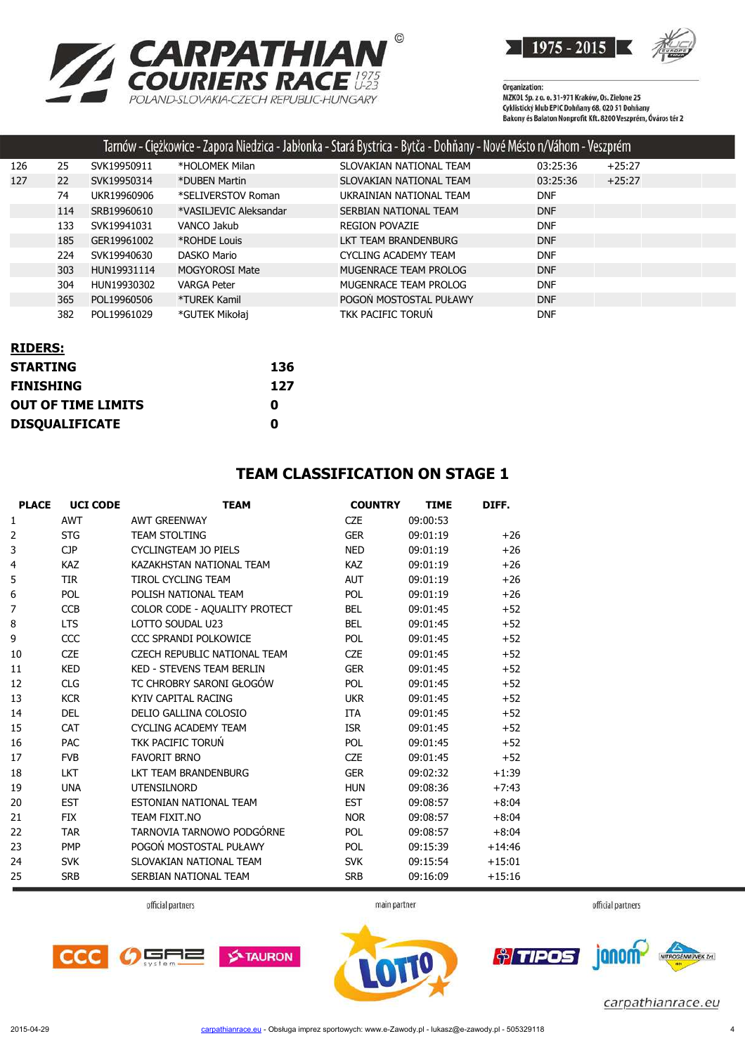



|     |     |             |                        | Tarnów - Ciężkowice - Zapora Niedzica - Jabłonka - Stará Bystrica - Bytča - Dohňany - Nové Mésto n/Váhom - Veszprém |            |          |  |
|-----|-----|-------------|------------------------|---------------------------------------------------------------------------------------------------------------------|------------|----------|--|
| 126 | 25  | SVK19950911 | *HOLOMEK Milan         | SLOVAKIAN NATIONAL TEAM                                                                                             | 03:25:36   | $+25:27$ |  |
| 127 | 22  | SVK19950314 | *DUBEN Martin          | SLOVAKIAN NATIONAL TEAM                                                                                             | 03:25:36   | $+25:27$ |  |
|     | 74  | UKR19960906 | *SELIVERSTOV Roman     | UKRAINIAN NATIONAL TEAM                                                                                             | <b>DNF</b> |          |  |
|     | 114 | SRB19960610 | *VASILJEVIC Aleksandar | SERBIAN NATIONAL TEAM                                                                                               | <b>DNF</b> |          |  |
|     | 133 | SVK19941031 | VANCO Jakub            | <b>REGION POVAZIE</b>                                                                                               | <b>DNF</b> |          |  |
|     | 185 | GER19961002 | *ROHDE Louis           | LKT TEAM BRANDENBURG                                                                                                | <b>DNF</b> |          |  |
|     | 224 | SVK19940630 | DASKO Mario            | CYCLING ACADEMY TEAM                                                                                                | <b>DNF</b> |          |  |
|     | 303 | HUN19931114 | <b>MOGYOROSI Mate</b>  | MUGENRACE TEAM PROLOG                                                                                               | <b>DNF</b> |          |  |
|     | 304 | HUN19930302 | <b>VARGA Peter</b>     | MUGENRACE TEAM PROLOG                                                                                               | <b>DNF</b> |          |  |
|     | 365 | POL19960506 | *TUREK Kamil           | POGON MOSTOSTAL PUŁAWY                                                                                              | <b>DNF</b> |          |  |
|     | 382 | POL19961029 | *GUTEK Mikołaj         | TKK PACIFIC TORUN                                                                                                   | <b>DNF</b> |          |  |

| <b>RIDERS:</b>            |     |
|---------------------------|-----|
| <b>STARTING</b>           | 136 |
| <b>FINISHING</b>          | 127 |
| <b>OUT OF TIME LIMITS</b> | 0   |
| <b>DISQUALIFICATE</b>     | Λ   |

#### **TEAM CLASSIFICATION ON STAGE 1**

| <b>PLACE</b> | <b>UCI CODE</b> | <b>TEAM</b>                      | <b>COUNTRY</b> | <b>TIME</b> | DIFF.    |
|--------------|-----------------|----------------------------------|----------------|-------------|----------|
| 1            | <b>AWT</b>      | <b>AWT GREENWAY</b>              | <b>CZE</b>     | 09:00:53    |          |
| 2            | <b>STG</b>      | <b>TEAM STOLTING</b>             | <b>GER</b>     | 09:01:19    | $+26$    |
| 3            | <b>CJP</b>      | <b>CYCLINGTEAM JO PIELS</b>      | <b>NED</b>     | 09:01:19    | $+26$    |
| 4            | <b>KAZ</b>      | KAZAKHSTAN NATIONAL TEAM         | <b>KAZ</b>     | 09:01:19    | $+26$    |
| 5            | <b>TIR</b>      | <b>TIROL CYCLING TEAM</b>        | <b>AUT</b>     | 09:01:19    | $+26$    |
| 6            | <b>POL</b>      | POLISH NATIONAL TEAM             | <b>POL</b>     | 09:01:19    | $+26$    |
| 7            | <b>CCB</b>      | COLOR CODE - AQUALITY PROTECT    | <b>BEL</b>     | 09:01:45    | $+52$    |
| 8            | <b>LTS</b>      | LOTTO SOUDAL U23                 | <b>BEL</b>     | 09:01:45    | $+52$    |
| 9            | CCC             | CCC SPRANDI POLKOWICE            | <b>POL</b>     | 09:01:45    | $+52$    |
| 10           | <b>CZE</b>      | CZECH REPUBLIC NATIONAL TEAM     | <b>CZE</b>     | 09:01:45    | $+52$    |
| 11           | <b>KED</b>      | <b>KED - STEVENS TEAM BERLIN</b> | <b>GER</b>     | 09:01:45    | $+52$    |
| 12           | <b>CLG</b>      | TC CHROBRY SARONI GŁOGÓW         | <b>POL</b>     | 09:01:45    | $+52$    |
| 13           | <b>KCR</b>      | KYIV CAPITAL RACING              | <b>UKR</b>     | 09:01:45    | $+52$    |
| 14           | <b>DEL</b>      | DELIO GALLINA COLOSIO            | <b>ITA</b>     | 09:01:45    | $+52$    |
| 15           | <b>CAT</b>      | <b>CYCLING ACADEMY TEAM</b>      | <b>ISR</b>     | 09:01:45    | $+52$    |
| 16           | <b>PAC</b>      | TKK PACIFIC TORUŃ                | POL            | 09:01:45    | $+52$    |
| 17           | <b>FVB</b>      | <b>FAVORIT BRNO</b>              | <b>CZE</b>     | 09:01:45    | $+52$    |
| 18           | <b>LKT</b>      | LKT TEAM BRANDENBURG             | <b>GER</b>     | 09:02:32    | $+1:39$  |
| 19           | <b>UNA</b>      | <b>UTENSILNORD</b>               | <b>HUN</b>     | 09:08:36    | $+7:43$  |
| 20           | <b>EST</b>      | ESTONIAN NATIONAL TEAM           | <b>EST</b>     | 09:08:57    | $+8:04$  |
| 21           | <b>FIX</b>      | TEAM FIXIT.NO                    | <b>NOR</b>     | 09:08:57    | $+8:04$  |
| 22           | <b>TAR</b>      | TARNOVIA TARNOWO PODGÓRNE        | POL            | 09:08:57    | $+8:04$  |
| 23           | <b>PMP</b>      | POGOŃ MOSTOSTAL PUŁAWY           | <b>POL</b>     | 09:15:39    | $+14:46$ |
| 24           | <b>SVK</b>      | SLOVAKIAN NATIONAL TEAM          | <b>SVK</b>     | 09:15:54    | $+15:01$ |
| 25           | <b>SRB</b>      | SERBIAN NATIONAL TEAM            | <b>SRB</b>     | 09:16:09    | $+15:16$ |

official partners



official partners



main partner

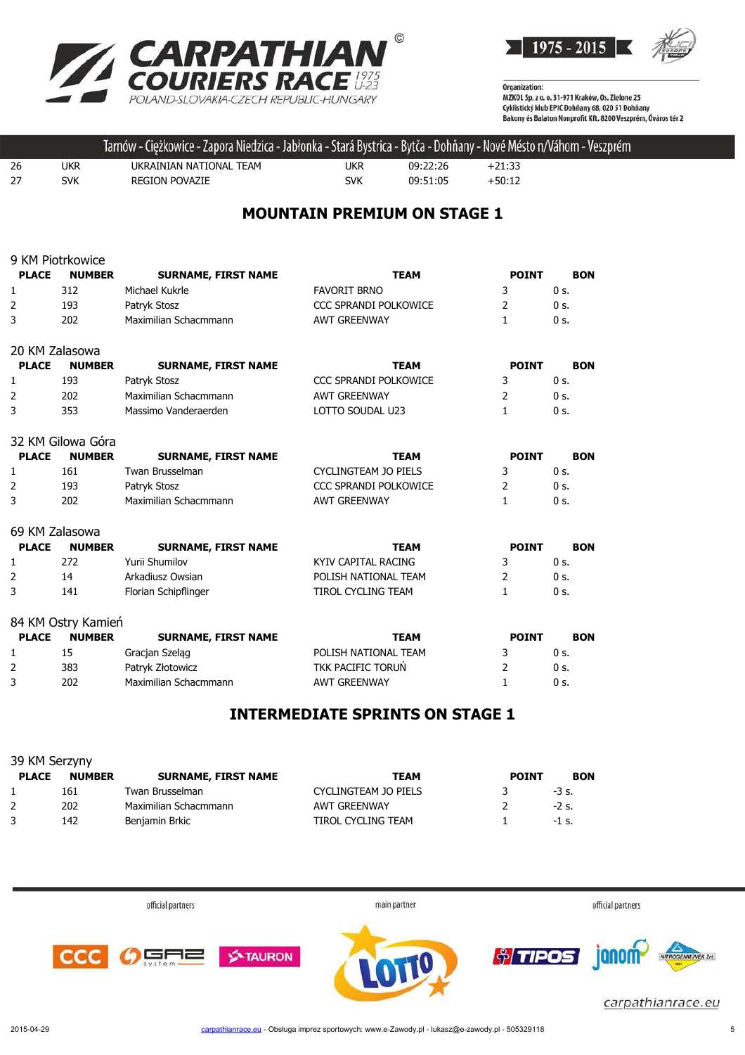



|     |            | Tarnów - Ciężkowice - Zapora Niedzica - Jabłonka - Stará Bystrica - Bytča - Dohňany - Nové Mésto n/Váhom - Veszprém |     |          |          |  |
|-----|------------|---------------------------------------------------------------------------------------------------------------------|-----|----------|----------|--|
| -26 | <b>UKR</b> | UKRAINIAN NATIONAL TEAM                                                                                             | ukr | 09:22:26 | $+21:33$ |  |
| 27  | <b>SVK</b> | <b>REGION POVAZIE</b>                                                                                               | SVK | 09:51:05 | $+50:12$ |  |
|     |            |                                                                                                                     |     |          |          |  |

# **MOUNTAIN PREMIUM ON STAGE 1**

|                | 9 KM Piotrkowice   |                            |                              |              |                |
|----------------|--------------------|----------------------------|------------------------------|--------------|----------------|
| <b>PLACE</b>   | <b>NUMBER</b>      | <b>SURNAME, FIRST NAME</b> | <b>TEAM</b>                  | <b>POINT</b> | <b>BON</b>     |
| 1              | 312                | Michael Kukrle             | <b>FAVORIT BRNO</b>          | 3            | 0 <sub>s</sub> |
| 2              | 193                | Patryk Stosz               | <b>CCC SPRANDI POLKOWICE</b> | 2            | 0 s.           |
| 3              | 202                | Maximilian Schacmmann      | <b>AWT GREENWAY</b>          | $\mathbf{1}$ | $0s$ .         |
| 20 KM Zalasowa |                    |                            |                              |              |                |
| <b>PLACE</b>   | <b>NUMBER</b>      | <b>SURNAME, FIRST NAME</b> | <b>TEAM</b>                  | <b>POINT</b> | <b>BON</b>     |
| 1              | 193                | Patryk Stosz               | CCC SPRANDI POLKOWICE        | 3            | 0 <sub>s</sub> |
| 2              | 202                | Maximilian Schacmmann      | <b>AWT GREENWAY</b>          | 2            | 0 <sub>s</sub> |
| 3              | 353                | Massimo Vanderaerden       | LOTTO SOUDAL U23             | $\mathbf{1}$ | $0s$ .         |
|                | 32 KM Gilowa Góra  |                            |                              |              |                |
| <b>PLACE</b>   | <b>NUMBER</b>      | <b>SURNAME, FIRST NAME</b> | <b>TEAM</b>                  | <b>POINT</b> | <b>BON</b>     |
| 1              | 161                | Twan Brusselman            | <b>CYCLINGTEAM JO PIELS</b>  | 3            | $0s$ .         |
| 2              | 193                | Patryk Stosz               | <b>CCC SPRANDI POLKOWICE</b> | 2            | $0s$ .         |
| 3              | 202                | Maximilian Schacmmann      | <b>AWT GREENWAY</b>          | $\mathbf{1}$ | $0s$ .         |
| 69 KM Zalasowa |                    |                            |                              |              |                |
| <b>PLACE</b>   | <b>NUMBER</b>      | <b>SURNAME, FIRST NAME</b> | <b>TEAM</b>                  | <b>POINT</b> | <b>BON</b>     |
| 1              | 272                | Yurii Shumilov             | <b>KYIV CAPITAL RACING</b>   | 3            | $0s$ .         |
| $\overline{2}$ | 14                 | Arkadiusz Owsian           | POLISH NATIONAL TEAM         | 2            | $0s$ .         |
| 3              | 141                | Florian Schipflinger       | <b>TIROL CYCLING TEAM</b>    | 1            | $0s$ .         |
|                | 84 KM Ostry Kamień |                            |                              |              |                |
| <b>PLACE</b>   | <b>NUMBER</b>      | <b>SURNAME, FIRST NAME</b> | <b>TEAM</b>                  | <b>POINT</b> | <b>BON</b>     |
| 1              | 15                 | Gracjan Szeląg             | POLISH NATIONAL TEAM         | 3            | $0s$ .         |
| 2              | 383                | Patryk Złotowicz           | <b>TKK PACIFIC TORUN</b>     | 2            | $0s$ .         |
| 3              | 202                | Maximilian Schacmmann      | <b>AWT GREENWAY</b>          | 1            | 0 s.           |

# **INTERMEDIATE SPRINTS ON STAGE 1**

| 39 KM Serzyny |               |                            |                      |              |            |  |  |
|---------------|---------------|----------------------------|----------------------|--------------|------------|--|--|
| <b>PLACE</b>  | <b>NUMBER</b> | <b>SURNAME, FIRST NAME</b> | <b>TEAM</b>          | <b>POINT</b> | <b>BON</b> |  |  |
|               | 161           | Twan Brusselman            | CYCLINGTEAM JO PIELS |              | $-3$ s.    |  |  |
|               | 202           | Maximilian Schacmmann      | <b>AWT GREENWAY</b>  |              | $-2$ s.    |  |  |
|               | 142           | Benjamin Brkic             | TIROL CYCLING TEAM   |              | $-1$ s.    |  |  |

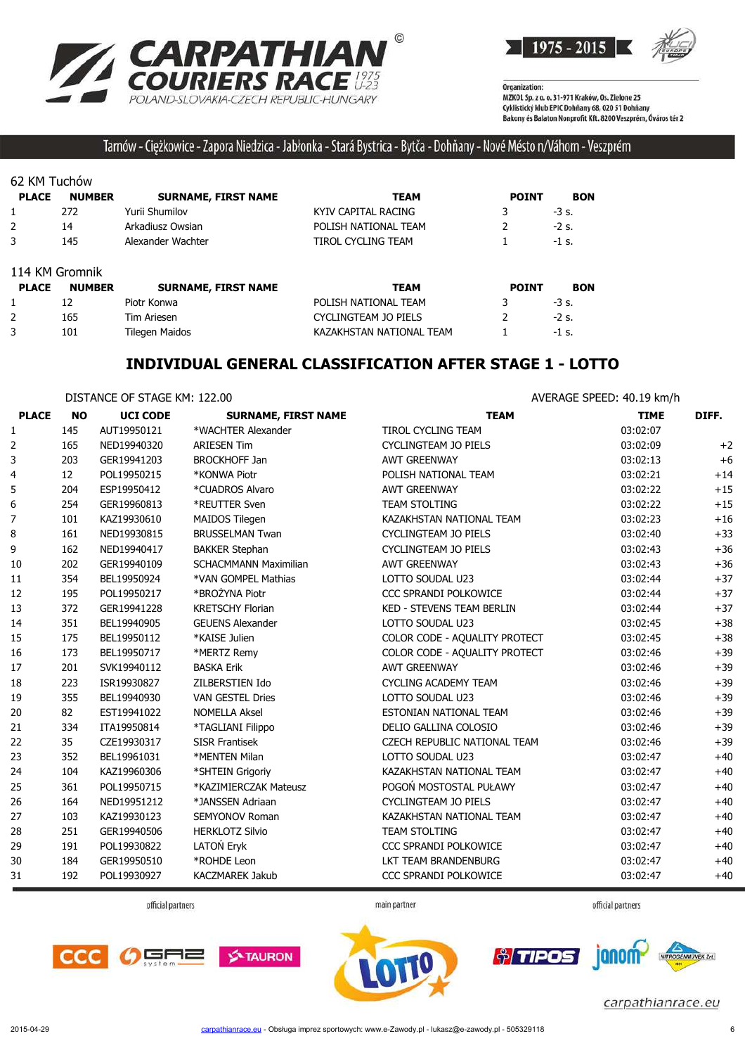



### Tarnów - Ciężkowice - Zapora Niedzica - Jabłonka - Stará Bystrica - Bytča - Dohňany - Nové Mésto n/Váhom - Veszprém

#### 62 KM Tuchów

| <b>PLACE</b>   | <b>NUMBER</b> | <b>SURNAME, FIRST NAME</b> | <b>TEAM</b>              | <b>POINT</b> | <b>BON</b> |
|----------------|---------------|----------------------------|--------------------------|--------------|------------|
| 1              | 272           | Yurii Shumilov             | KYIV CAPITAL RACING      |              | $-3$ s.    |
| 2              | 14            | Arkadiusz Owsian           | POLISH NATIONAL TEAM     |              | $-2s$ .    |
| 3              | 145           | Alexander Wachter          | TIROL CYCLING TEAM       |              | $-1$ s.    |
| 114 KM Gromnik |               |                            |                          |              |            |
| <b>PLACE</b>   | <b>NUMBER</b> | <b>SURNAME, FIRST NAME</b> | <b>TEAM</b>              | <b>POINT</b> | <b>BON</b> |
|                | 12            | Piotr Konwa                | POLISH NATIONAL TEAM     |              | $-3$ s.    |
| $\overline{2}$ | 165           | <b>Tim Ariesen</b>         | CYCLINGTEAM JO PIELS     |              | $-2$ s.    |
| 3              | 101           | Tilegen Maidos             | KAZAKHSTAN NATIONAL TEAM |              | $-1$ s.    |

#### **INDIVIDUAL GENERAL CLASSIFICATION AFTER STAGE 1 - LOTTO**

|              | DISTANCE OF STAGE KM: 122.00 |                 |                              | AVERAGE SPEED: 40.19 km/h        |             |       |
|--------------|------------------------------|-----------------|------------------------------|----------------------------------|-------------|-------|
| <b>PLACE</b> | <b>NO</b>                    | <b>UCI CODE</b> | <b>SURNAME, FIRST NAME</b>   | <b>TEAM</b>                      | <b>TIME</b> | DIFF. |
| 1            | 145                          | AUT19950121     | *WACHTER Alexander           | TIROL CYCLING TEAM               | 03:02:07    |       |
| 2            | 165                          | NED19940320     | <b>ARIESEN Tim</b>           | CYCLINGTEAM JO PIELS             | 03:02:09    | $+2$  |
| 3            | 203                          | GER19941203     | <b>BROCKHOFF Jan</b>         | <b>AWT GREENWAY</b>              | 03:02:13    | $+6$  |
| 4            | 12                           | POL19950215     | *KONWA Piotr                 | POLISH NATIONAL TEAM             | 03:02:21    | $+14$ |
| 5            | 204                          | ESP19950412     | *CUADROS Alvaro              | <b>AWT GREENWAY</b>              | 03:02:22    | $+15$ |
| 6            | 254                          | GER19960813     | *REUTTER Sven                | <b>TEAM STOLTING</b>             | 03:02:22    | $+15$ |
| 7            | 101                          | KAZ19930610     | MAIDOS Tilegen               | KAZAKHSTAN NATIONAL TEAM         | 03:02:23    | $+16$ |
| 8            | 161                          | NED19930815     | <b>BRUSSELMAN Twan</b>       | <b>CYCLINGTEAM JO PIELS</b>      | 03:02:40    | $+33$ |
| 9            | 162                          | NED19940417     | <b>BAKKER Stephan</b>        | <b>CYCLINGTEAM JO PIELS</b>      | 03:02:43    | $+36$ |
| 10           | 202                          | GER19940109     | <b>SCHACMMANN Maximilian</b> | <b>AWT GREENWAY</b>              | 03:02:43    | $+36$ |
| 11           | 354                          | BEL19950924     | *VAN GOMPEL Mathias          | LOTTO SOUDAL U23                 | 03:02:44    | $+37$ |
| 12           | 195                          | POL19950217     | *BROŻYNA Piotr               | CCC SPRANDI POLKOWICE            | 03:02:44    | $+37$ |
| 13           | 372                          | GER19941228     | <b>KRETSCHY Florian</b>      | <b>KED - STEVENS TEAM BERLIN</b> | 03:02:44    | $+37$ |
| 14           | 351                          | BEL19940905     | <b>GEUENS Alexander</b>      | LOTTO SOUDAL U23                 | 03:02:45    | $+38$ |
| 15           | 175                          | BEL19950112     | *KAISE Julien                | COLOR CODE - AQUALITY PROTECT    | 03:02:45    | $+38$ |
| 16           | 173                          | BEL19950717     | *MERTZ Remy                  | COLOR CODE - AQUALITY PROTECT    | 03:02:46    | $+39$ |
| 17           | 201                          | SVK19940112     | <b>BASKA Erik</b>            | <b>AWT GREENWAY</b>              | 03:02:46    | $+39$ |
| 18           | 223                          | ISR19930827     | ZILBERSTIEN Ido              | <b>CYCLING ACADEMY TEAM</b>      | 03:02:46    | $+39$ |
| 19           | 355                          | BEL19940930     | <b>VAN GESTEL Dries</b>      | LOTTO SOUDAL U23                 | 03:02:46    | $+39$ |
| 20           | 82                           | EST19941022     | <b>NOMELLA Aksel</b>         | ESTONIAN NATIONAL TEAM           | 03:02:46    | $+39$ |
| 21           | 334                          | ITA19950814     | *TAGLIANI Filippo            | DELIO GALLINA COLOSIO            | 03:02:46    | $+39$ |
| 22           | 35                           | CZE19930317     | <b>SISR Frantisek</b>        | CZECH REPUBLIC NATIONAL TEAM     | 03:02:46    | $+39$ |
| 23           | 352                          | BEL19961031     | *MENTEN Milan                | LOTTO SOUDAL U23                 | 03:02:47    | $+40$ |
| 24           | 104                          | KAZ19960306     | *SHTEIN Grigoriy             | KAZAKHSTAN NATIONAL TEAM         | 03:02:47    | $+40$ |
| 25           | 361                          | POL19950715     | *KAZIMIERCZAK Mateusz        | POGOŃ MOSTOSTAL PUŁAWY           | 03:02:47    | $+40$ |
| 26           | 164                          | NED19951212     | *JANSSEN Adriaan             | <b>CYCLINGTEAM JO PIELS</b>      | 03:02:47    | $+40$ |
| 27           | 103                          | KAZ19930123     | <b>SEMYONOV Roman</b>        | KAZAKHSTAN NATIONAL TEAM         | 03:02:47    | $+40$ |
| 28           | 251                          | GER19940506     | <b>HERKLOTZ Silvio</b>       | <b>TEAM STOLTING</b>             | 03:02:47    | $+40$ |
| 29           | 191                          | POL19930822     | LATON Eryk                   | CCC SPRANDI POLKOWICE            | 03:02:47    | $+40$ |
| 30           | 184                          | GER19950510     | *ROHDE Leon                  | LKT TEAM BRANDENBURG             | 03:02:47    | $+40$ |
| 31           | 192                          | POL19930927     | KACZMAREK Jakub              | CCC SPRANDI POLKOWICE            | 03:02:47    | $+40$ |

official partners

main partner

official partners







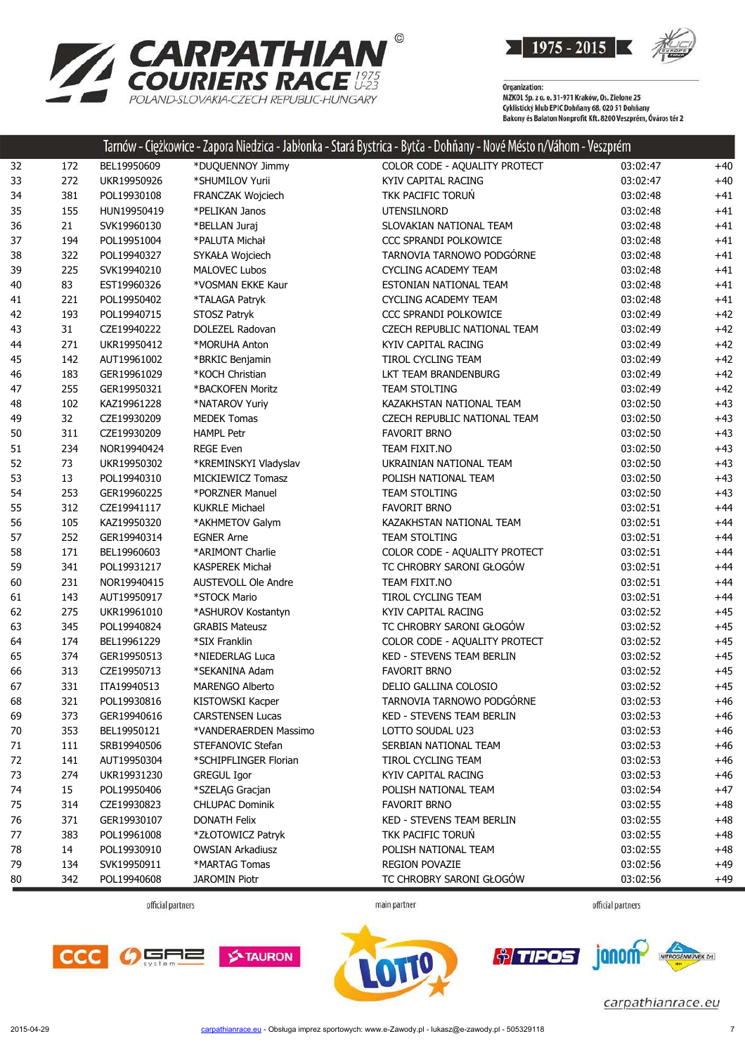

| <b>Z CARPATHIAN</b><br>COURIERS RACE<br>POLAND-SLOVAKIA-CZECH REPUBLIC-HUNGARY |
|--------------------------------------------------------------------------------|
|                                                                                |

|    |     |             |                            | Tarnów - Ciężkowice - Zapora Niedzica - Jabłonka - Stará Bystrica - Bytča - Dohňany - Nové Mésto n/Váhom - Veszprém |          |       |
|----|-----|-------------|----------------------------|---------------------------------------------------------------------------------------------------------------------|----------|-------|
| 32 | 172 | BEL19950609 | *DUQUENNOY Jimmy           | COLOR CODE - AQUALITY PROTECT                                                                                       | 03:02:47 | $+40$ |
| 33 | 272 | UKR19950926 | *SHUMILOV Yurii            | <b>KYIV CAPITAL RACING</b>                                                                                          | 03:02:47 | $+40$ |
| 34 | 381 | POL19930108 | FRANCZAK Wojciech          | TKK PACIFIC TORUŃ                                                                                                   | 03:02:48 | $+41$ |
| 35 | 155 | HUN19950419 | *PELIKAN Janos             | <b>UTENSILNORD</b>                                                                                                  | 03:02:48 | $+41$ |
| 36 | 21  | SVK19960130 | *BELLAN Juraj              | SLOVAKIAN NATIONAL TEAM                                                                                             | 03:02:48 | $+41$ |
| 37 | 194 | POL19951004 | *PALUTA Michał             | CCC SPRANDI POLKOWICE                                                                                               | 03:02:48 | $+41$ |
| 38 | 322 | POL19940327 | SYKAŁA Wojciech            | TARNOVIA TARNOWO PODGÓRNE                                                                                           | 03:02:48 | $+41$ |
| 39 | 225 | SVK19940210 | <b>MALOVEC Lubos</b>       | CYCLING ACADEMY TEAM                                                                                                | 03:02:48 | $+41$ |
| 40 | 83  | EST19960326 | *VOSMAN EKKE Kaur          | ESTONIAN NATIONAL TEAM                                                                                              | 03:02:48 | $+41$ |
| 41 | 221 | POL19950402 | *TALAGA Patryk             | <b>CYCLING ACADEMY TEAM</b>                                                                                         | 03:02:48 | $+41$ |
| 42 | 193 | POL19940715 | STOSZ Patryk               | CCC SPRANDI POLKOWICE                                                                                               | 03:02:49 | $+42$ |
| 43 | 31  | CZE19940222 | DOLEZEL Radovan            | CZECH REPUBLIC NATIONAL TEAM                                                                                        | 03:02:49 | $+42$ |
| 44 | 271 | UKR19950412 | *MORUHA Anton              | KYIV CAPITAL RACING                                                                                                 | 03:02:49 | $+42$ |
| 45 | 142 | AUT19961002 | *BRKIC Benjamin            | TIROL CYCLING TEAM                                                                                                  | 03:02:49 | $+42$ |
| 46 | 183 | GER19961029 | *KOCH Christian            | LKT TEAM BRANDENBURG                                                                                                | 03:02:49 | $+42$ |
| 47 | 255 | GER19950321 | *BACKOFEN Moritz           | <b>TEAM STOLTING</b>                                                                                                | 03:02:49 | $+42$ |
| 48 | 102 | KAZ19961228 | *NATAROV Yuriy             | KAZAKHSTAN NATIONAL TEAM                                                                                            | 03:02:50 | $+43$ |
| 49 | 32  | CZE19930209 | <b>MEDEK Tomas</b>         | CZECH REPUBLIC NATIONAL TEAM                                                                                        | 03:02:50 | $+43$ |
| 50 | 311 | CZE19930209 | <b>HAMPL Petr</b>          | <b>FAVORIT BRNO</b>                                                                                                 | 03:02:50 | $+43$ |
| 51 | 234 | NOR19940424 | <b>REGE Even</b>           | TEAM FIXIT.NO                                                                                                       | 03:02:50 | $+43$ |
| 52 | 73  | UKR19950302 | *KREMINSKYI Vladyslav      | UKRAINIAN NATIONAL TEAM                                                                                             | 03:02:50 | $+43$ |
| 53 | 13  | POL19940310 | MICKIEWICZ Tomasz          | POLISH NATIONAL TEAM                                                                                                | 03:02:50 | $+43$ |
| 54 | 253 | GER19960225 | *PORZNER Manuel            | <b>TEAM STOLTING</b>                                                                                                | 03:02:50 | $+43$ |
| 55 | 312 | CZE19941117 | <b>KUKRLE Michael</b>      | <b>FAVORIT BRNO</b>                                                                                                 | 03:02:51 | $+44$ |
| 56 | 105 | KAZ19950320 | *AKHMETOV Galym            | KAZAKHSTAN NATIONAL TEAM                                                                                            | 03:02:51 | $+44$ |
| 57 | 252 | GER19940314 | <b>EGNER Arne</b>          | <b>TEAM STOLTING</b>                                                                                                | 03:02:51 | $+44$ |
| 58 | 171 | BEL19960603 | *ARIMONT Charlie           | COLOR CODE - AQUALITY PROTECT                                                                                       | 03:02:51 | $+44$ |
| 59 | 341 | POL19931217 | <b>KASPEREK Michał</b>     | TC CHROBRY SARONI GŁOGÓW                                                                                            | 03:02:51 | $+44$ |
| 60 | 231 | NOR19940415 | <b>AUSTEVOLL Ole Andre</b> | TEAM FIXIT.NO                                                                                                       | 03:02:51 | $+44$ |
| 61 | 143 | AUT19950917 | *STOCK Mario               | TIROL CYCLING TEAM                                                                                                  | 03:02:51 | $+44$ |
| 62 | 275 | UKR19961010 | *ASHUROV Kostantyn         | KYIV CAPITAL RACING                                                                                                 | 03:02:52 | $+45$ |
| 63 | 345 | POL19940824 | <b>GRABIS Mateusz</b>      | TC CHROBRY SARONI GŁOGÓW                                                                                            | 03:02:52 | $+45$ |
| 64 | 174 | BEL19961229 | *SIX Franklin              | COLOR CODE - AQUALITY PROTECT                                                                                       | 03:02:52 | $+45$ |
| 65 | 374 | GER19950513 | *NIEDERLAG Luca            | KED - STEVENS TEAM BERLIN                                                                                           | 03:02:52 | $+45$ |
| 66 | 313 | CZE19950713 | *SEKANINA Adam             | <b>FAVORIT BRNO</b>                                                                                                 | 03:02:52 | $+45$ |
| 67 | 331 | ITA19940513 | <b>MARENGO Alberto</b>     | DELIO GALLINA COLOSIO                                                                                               | 03:02:52 | $+45$ |
| 68 | 321 | POL19930816 | KISTOWSKI Kacper           | TARNOVIA TARNOWO PODGÓRNE                                                                                           | 03:02:53 | +46   |
| 69 | 373 | GER19940616 | <b>CARSTENSEN Lucas</b>    | <b>KED - STEVENS TEAM BERLIN</b>                                                                                    | 03:02:53 | $+46$ |
| 70 | 353 | BEL19950121 | *VANDERAERDEN Massimo      | LOTTO SOUDAL U23                                                                                                    | 03:02:53 | $+46$ |
| 71 | 111 | SRB19940506 | STEFANOVIC Stefan          | SERBIAN NATIONAL TEAM                                                                                               | 03:02:53 | $+46$ |
| 72 | 141 | AUT19950304 | *SCHIPFLINGER Florian      | TIROL CYCLING TEAM                                                                                                  | 03:02:53 | $+46$ |
| 73 | 274 | UKR19931230 | <b>GREGUL Igor</b>         | KYIV CAPITAL RACING                                                                                                 | 03:02:53 | $+46$ |
| 74 | 15  | POL19950406 | *SZELĄG Gracjan            | POLISH NATIONAL TEAM                                                                                                | 03:02:54 | $+47$ |
| 75 | 314 | CZE19930823 | <b>CHLUPAC Dominik</b>     | <b>FAVORIT BRNO</b>                                                                                                 | 03:02:55 | $+48$ |
| 76 | 371 | GER19930107 | <b>DONATH Felix</b>        | <b>KED - STEVENS TEAM BERLIN</b>                                                                                    | 03:02:55 | $+48$ |
| 77 | 383 | POL19961008 | *ZŁOTOWICZ Patryk          | TKK PACIFIC TORUN                                                                                                   | 03:02:55 | $+48$ |
| 78 | 14  | POL19930910 | <b>OWSIAN Arkadiusz</b>    | POLISH NATIONAL TEAM                                                                                                | 03:02:55 | $+48$ |
| 79 | 134 | SVK19950911 | *MARTAG Tomas              | REGION POVAZIE                                                                                                      | 03:02:56 | $+49$ |
| 80 | 342 | POL19940608 | <b>JAROMIN Piotr</b>       | TC CHROBRY SARONI GŁOGÓW                                                                                            | 03:02:56 | $+49$ |
|    |     |             |                            |                                                                                                                     |          |       |

official partners

main partner

official partners







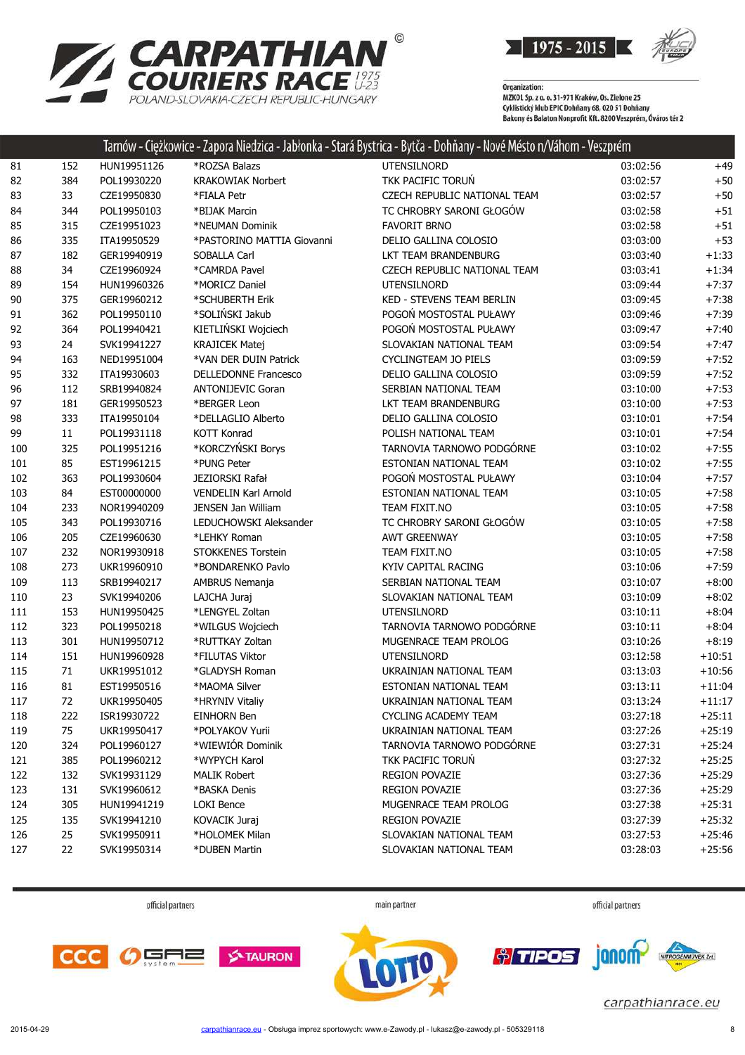

| <b>ZARPATHIAN</b>                        |
|------------------------------------------|
| <b>COURIERS RACE ##</b>                  |
| POI AND-SI OVAKIA-CZECH REPUBLIC-HUNGARY |

| 85  | 315    | CZE19951023 | *NEUMAN Dominik             | <b>FAVORIT BRNO</b>          | 03:02:58 | $+51$    |
|-----|--------|-------------|-----------------------------|------------------------------|----------|----------|
| 86  | 335    | ITA19950529 | *PASTORINO MATTIA Giovanni  | DELIO GALLINA COLOSIO        | 03:03:00 | $+53$    |
| 87  | 182    | GER19940919 | SOBALLA Carl                | LKT TEAM BRANDENBURG         | 03:03:40 | $+1:33$  |
| 88  | 34     | CZE19960924 | *CAMRDA Pavel               | CZECH REPUBLIC NATIONAL TEAM | 03:03:41 | $+1:34$  |
| 89  | 154    | HUN19960326 | *MORICZ Daniel              | <b>UTENSILNORD</b>           | 03:09:44 | $+7:37$  |
| 90  | 375    | GER19960212 | *SCHUBERTH Erik             | KED - STEVENS TEAM BERLIN    | 03:09:45 | $+7:38$  |
| 91  | 362    | POL19950110 | *SOLIŃSKI Jakub             | POGOŃ MOSTOSTAL PUŁAWY       | 03:09:46 | $+7:39$  |
| 92  | 364    | POL19940421 | KIETLIŃSKI Wojciech         | POGOŃ MOSTOSTAL PUŁAWY       | 03:09:47 | $+7:40$  |
| 93  | 24     | SVK19941227 | <b>KRAJICEK Matej</b>       | SLOVAKIAN NATIONAL TEAM      | 03:09:54 | $+7:47$  |
| 94  | 163    | NED19951004 | *VAN DER DUIN Patrick       | CYCLINGTEAM JO PIELS         | 03:09:59 | $+7:52$  |
| 95  | 332    | ITA19930603 | DELLEDONNE Francesco        | DELIO GALLINA COLOSIO        | 03:09:59 | $+7:52$  |
| 96  | 112    | SRB19940824 | <b>ANTONIJEVIC Goran</b>    | SERBIAN NATIONAL TEAM        | 03:10:00 | $+7:53$  |
| 97  | 181    | GER19950523 | *BERGER Leon                | LKT TEAM BRANDENBURG         | 03:10:00 | $+7:53$  |
| 98  | 333    | ITA19950104 | *DELLAGLIO Alberto          | DELIO GALLINA COLOSIO        | 03:10:01 | $+7:54$  |
| 99  | $11\,$ | POL19931118 | KOTT Konrad                 | POLISH NATIONAL TEAM         | 03:10:01 | $+7:54$  |
| 100 | 325    | POL19951216 | *KORCZYŃSKI Borys           | TARNOVIA TARNOWO PODGÓRNE    | 03:10:02 | $+7:55$  |
| 101 | 85     | EST19961215 | *PUNG Peter                 | ESTONIAN NATIONAL TEAM       | 03:10:02 | $+7:55$  |
| 102 | 363    | POL19930604 | JEZIORSKI Rafał             | POGOŃ MOSTOSTAL PUŁAWY       | 03:10:04 | $+7:57$  |
| 103 | 84     | EST00000000 | <b>VENDELIN Karl Arnold</b> | ESTONIAN NATIONAL TEAM       | 03:10:05 | $+7:58$  |
| 104 | 233    | NOR19940209 | JENSEN Jan William          | TEAM FIXIT.NO                | 03:10:05 | $+7:58$  |
| 105 | 343    | POL19930716 | LEDUCHOWSKI Aleksander      | TC CHROBRY SARONI GŁOGÓW     | 03:10:05 | $+7:58$  |
| 106 | 205    | CZE19960630 | *LEHKY Roman                | <b>AWT GREENWAY</b>          | 03:10:05 | $+7:58$  |
| 107 | 232    | NOR19930918 | STOKKENES Torstein          | TEAM FIXIT.NO                | 03:10:05 | $+7:58$  |
| 108 | 273    | UKR19960910 | *BONDARENKO Pavlo           | KYIV CAPITAL RACING          | 03:10:06 | $+7:59$  |
| 109 | 113    | SRB19940217 | AMBRUS Nemanja              | SERBIAN NATIONAL TEAM        | 03:10:07 | $+8:00$  |
| 110 | 23     | SVK19940206 | LAJCHA Juraj                | SLOVAKIAN NATIONAL TEAM      | 03:10:09 | $+8:02$  |
| 111 | 153    | HUN19950425 | *LENGYEL Zoltan             | <b>UTENSILNORD</b>           | 03:10:11 | $+8:04$  |
| 112 | 323    | POL19950218 | *WILGUS Wojciech            | TARNOVIA TARNOWO PODGÓRNE    | 03:10:11 | $+8:04$  |
| 113 | 301    | HUN19950712 | *RUTTKAY Zoltan             | MUGENRACE TEAM PROLOG        | 03:10:26 | $+8:19$  |
| 114 | 151    | HUN19960928 | *FILUTAS Viktor             | <b>UTENSILNORD</b>           | 03:12:58 | $+10:51$ |
| 115 | 71     | UKR19951012 | *GLADYSH Roman              | UKRAINIAN NATIONAL TEAM      | 03:13:03 | $+10:56$ |
| 116 | 81     | EST19950516 | *MAOMA Silver               | ESTONIAN NATIONAL TEAM       | 03:13:11 | $+11:04$ |
| 117 | 72     | UKR19950405 | *HRYNIV Vitaliy             | UKRAINIAN NATIONAL TEAM      | 03:13:24 | $+11:17$ |
| 118 | 222    | ISR19930722 | EINHORN Ben                 | <b>CYCLING ACADEMY TEAM</b>  | 03:27:18 | $+25:11$ |
| 119 | 75     | UKR19950417 | *POLYAKOV Yurii             | UKRAINIAN NATIONAL TEAM      | 03:27:26 | $+25:19$ |
| 120 | 324    | POL19960127 | *WIEWIÓR Dominik            | TARNOVIA TARNOWO PODGÓRNE    | 03:27:31 | $+25:24$ |
| 121 | 385    | POL19960212 | *WYPYCH Karol               | TKK PACIFIC TORUŃ            | 03:27:32 | $+25:25$ |
| 122 | 132    | SVK19931129 | <b>MALIK Robert</b>         | REGION POVAZIE               | 03:27:36 | $+25:29$ |
| 123 | 131    | SVK19960612 | *BASKA Denis                | REGION POVAZIE               | 03:27:36 | $+25:29$ |
| 124 | 305    | HUN19941219 | <b>LOKI Bence</b>           | MUGENRACE TEAM PROLOG        | 03:27:38 | $+25:31$ |

 152 HUN19951126 \*ROZSA Balazs UTENSILNORD 03:02:56 +49 82 384 POL19930220 KRAKOWIAK Norbert TKK PACIFIC TORUŃ 63:02:57 +50 83 33 CZE19950830 \*FIALA Petr CZECH REPUBLIC NATIONAL TEAM 03:02:57 +50 344 POL19950103 \*BIJAK Marcin TC CHROBRY SARONI GŁOGÓW 03:02:58 +51

Tarnów - Ciężkowice - Zapora Niedzica - Jabłonka - Stará Bystrica - Bytča - Dohňany - Nové Mésto n/Váhom - Veszprém

official partners main partner

official partners



 135 SVK19941210 KOVACIK Juraj REGION POVAZIE 03:27:39 +25:32 25 SVK19950911 \*HOLOMEK Milan SLOVAKIAN NATIONAL TEAM 03:27:53 +25:46 22 SVK19950314 \*DUBEN Martin SLOVAKIAN NATIONAL TEAM 03:28:03 +25:56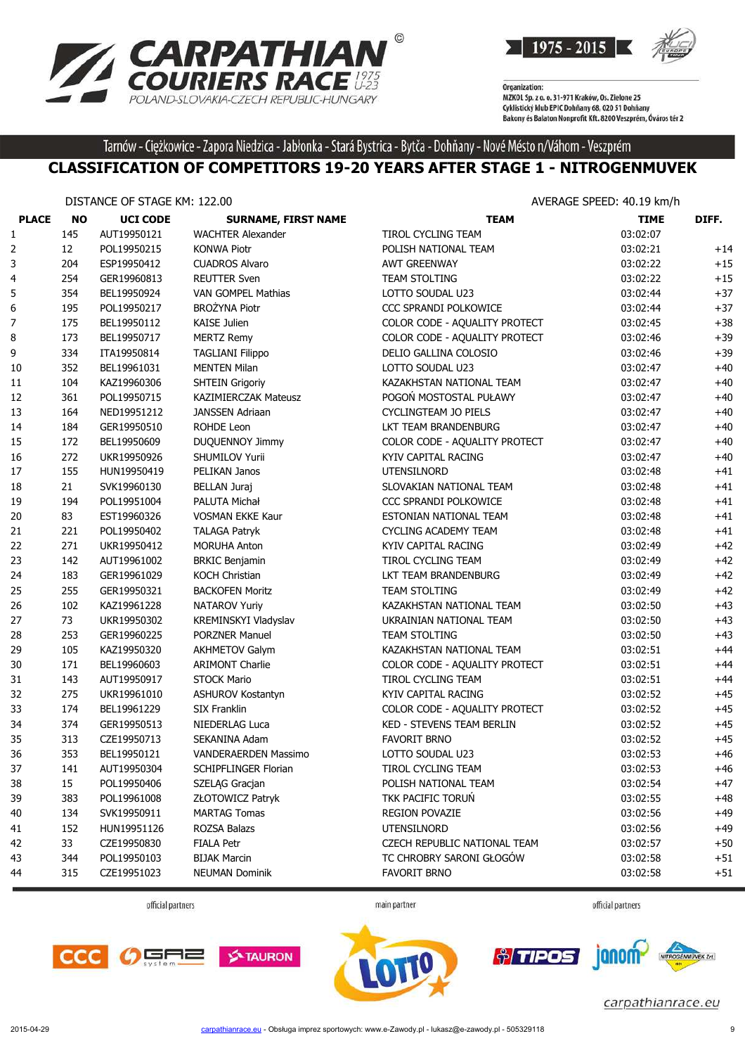



Tarnów - Ciężkowice - Zapora Niedzica - Jabłonka - Stará Bystrica - Bytča - Dohňany - Nové Mésto n/Váhom - Veszprém

#### **CLASSIFICATION OF COMPETITORS 19-20 YEARS AFTER STAGE 1 - NITROGENMUVEK**

|              | DISTANCE OF STAGE KM: 122.00 |                 |                             | AVERAGE SPEED: 40.19 km/h     |             |       |  |
|--------------|------------------------------|-----------------|-----------------------------|-------------------------------|-------------|-------|--|
| <b>PLACE</b> | <b>NO</b>                    | <b>UCI CODE</b> | <b>SURNAME, FIRST NAME</b>  | <b>TEAM</b>                   | <b>TIME</b> | DIFF. |  |
| 1            | 145                          | AUT19950121     | <b>WACHTER Alexander</b>    | TIROL CYCLING TEAM            | 03:02:07    |       |  |
| 2            | 12                           | POL19950215     | <b>KONWA Piotr</b>          | POLISH NATIONAL TEAM          | 03:02:21    | $+14$ |  |
| 3            | 204                          | ESP19950412     | <b>CUADROS Alvaro</b>       | <b>AWT GREENWAY</b>           | 03:02:22    | $+15$ |  |
| 4            | 254                          | GER19960813     | <b>REUTTER Sven</b>         | <b>TEAM STOLTING</b>          | 03:02:22    | $+15$ |  |
| 5            | 354                          | BEL19950924     | VAN GOMPEL Mathias          | LOTTO SOUDAL U23              | 03:02:44    | $+37$ |  |
| 6            | 195                          | POL19950217     | <b>BROŻYNA Piotr</b>        | CCC SPRANDI POLKOWICE         | 03:02:44    | $+37$ |  |
| 7            | 175                          | BEL19950112     | KAISE Julien                | COLOR CODE - AQUALITY PROTECT | 03:02:45    | $+38$ |  |
| 8            | 173                          | BEL19950717     | <b>MERTZ Remy</b>           | COLOR CODE - AQUALITY PROTECT | 03:02:46    | $+39$ |  |
| 9            | 334                          | ITA19950814     | <b>TAGLIANI Filippo</b>     | DELIO GALLINA COLOSIO         | 03:02:46    | $+39$ |  |
| 10           | 352                          | BEL19961031     | <b>MENTEN Milan</b>         | LOTTO SOUDAL U23              | 03:02:47    | $+40$ |  |
| 11           | 104                          | KAZ19960306     | <b>SHTEIN Grigoriy</b>      | KAZAKHSTAN NATIONAL TEAM      | 03:02:47    | $+40$ |  |
| 12           | 361                          | POL19950715     | <b>KAZIMIERCZAK Mateusz</b> | POGOŃ MOSTOSTAL PUŁAWY        | 03:02:47    | $+40$ |  |
| 13           | 164                          | NED19951212     | <b>JANSSEN Adriaan</b>      | CYCLINGTEAM JO PIELS          | 03:02:47    | $+40$ |  |
| 14           | 184                          | GER19950510     | ROHDE Leon                  | LKT TEAM BRANDENBURG          | 03:02:47    | $+40$ |  |
| 15           | 172                          | BEL19950609     | DUQUENNOY Jimmy             | COLOR CODE - AQUALITY PROTECT | 03:02:47    | $+40$ |  |
| 16           | 272                          | UKR19950926     | SHUMILOV Yurii              | KYIV CAPITAL RACING           | 03:02:47    | $+40$ |  |
| 17           | 155                          | HUN19950419     | PELIKAN Janos               | <b>UTENSILNORD</b>            | 03:02:48    | $+41$ |  |
| 18           | 21                           | SVK19960130     | <b>BELLAN Juraj</b>         | SLOVAKIAN NATIONAL TEAM       | 03:02:48    | $+41$ |  |
| 19           | 194                          | POL19951004     | PALUTA Michał               | CCC SPRANDI POLKOWICE         | 03:02:48    | $+41$ |  |
| 20           | 83                           | EST19960326     | <b>VOSMAN EKKE Kaur</b>     | ESTONIAN NATIONAL TEAM        | 03:02:48    | $+41$ |  |
| 21           | 221                          | POL19950402     | <b>TALAGA Patryk</b>        | <b>CYCLING ACADEMY TEAM</b>   | 03:02:48    | $+41$ |  |
| 22           | 271                          | UKR19950412     | <b>MORUHA Anton</b>         | KYIV CAPITAL RACING           | 03:02:49    | $+42$ |  |
| 23           | 142                          | AUT19961002     | <b>BRKIC Benjamin</b>       | TIROL CYCLING TEAM            | 03:02:49    | $+42$ |  |
| 24           | 183                          | GER19961029     | <b>KOCH Christian</b>       | LKT TEAM BRANDENBURG          | 03:02:49    | $+42$ |  |
| 25           | 255                          | GER19950321     | <b>BACKOFEN Moritz</b>      | <b>TEAM STOLTING</b>          | 03:02:49    | $+42$ |  |
| 26           | 102                          | KAZ19961228     | <b>NATAROV Yuriy</b>        | KAZAKHSTAN NATIONAL TEAM      | 03:02:50    | $+43$ |  |
| 27           | 73                           | UKR19950302     | KREMINSKYI Vladyslav        | UKRAINIAN NATIONAL TEAM       | 03:02:50    | $+43$ |  |
| 28           | 253                          | GER19960225     | <b>PORZNER Manuel</b>       | <b>TEAM STOLTING</b>          | 03:02:50    | $+43$ |  |
| 29           | 105                          | KAZ19950320     | <b>AKHMETOV Galym</b>       | KAZAKHSTAN NATIONAL TEAM      | 03:02:51    | $+44$ |  |
| 30           | 171                          | BEL19960603     | <b>ARIMONT Charlie</b>      | COLOR CODE - AQUALITY PROTECT | 03:02:51    | $+44$ |  |
| 31           | 143                          | AUT19950917     | <b>STOCK Mario</b>          | TIROL CYCLING TEAM            | 03:02:51    | $+44$ |  |
| 32           | 275                          | UKR19961010     | <b>ASHUROV Kostantyn</b>    | KYIV CAPITAL RACING           | 03:02:52    | $+45$ |  |
| 33           | 174                          | BEL19961229     | <b>SIX Franklin</b>         | COLOR CODE - AQUALITY PROTECT | 03:02:52    | $+45$ |  |
| 34           | 374                          | GER19950513     | NIEDERLAG Luca              | KED - STEVENS TEAM BERLIN     | 03:02:52    | $+45$ |  |
| 35           | 313                          | CZE19950713     | SEKANINA Adam               | <b>FAVORIT BRNO</b>           | 03:02:52    | $+45$ |  |
| 36           | 353                          | BEL19950121     | VANDERAERDEN Massimo        | LOTTO SOUDAL U23              | 03:02:53    | $+46$ |  |
| 37           | 141                          | AUT19950304     | SCHIPFLINGER Florian        | TIROL CYCLING TEAM            | 03:02:53    | +46   |  |
| 38           | 15                           | POL19950406     | SZELĄG Gracjan              | POLISH NATIONAL TEAM          | 03:02:54    | $+47$ |  |
| 39           | 383                          | POL19961008     | ZŁOTOWICZ Patryk            | TKK PACIFIC TORUN             | 03:02:55    | $+48$ |  |
| 40           | 134                          | SVK19950911     | <b>MARTAG Tomas</b>         | <b>REGION POVAZIE</b>         | 03:02:56    | $+49$ |  |
| 41           | 152                          | HUN19951126     | ROZSA Balazs                | UTENSILNORD                   | 03:02:56    | $+49$ |  |
| 42           | 33                           | CZE19950830     | <b>FIALA Petr</b>           | CZECH REPUBLIC NATIONAL TEAM  | 03:02:57    | $+50$ |  |
| 43           | 344                          | POL19950103     | <b>BIJAK Marcin</b>         | TC CHROBRY SARONI GŁOGÓW      | 03:02:58    | $+51$ |  |
| 44           | 315                          | CZE19951023     | <b>NEUMAN Dominik</b>       | FAVORIT BRNO                  | 03:02:58    | $+51$ |  |
|              |                              |                 |                             |                               |             |       |  |

official partners

main partner

official partners







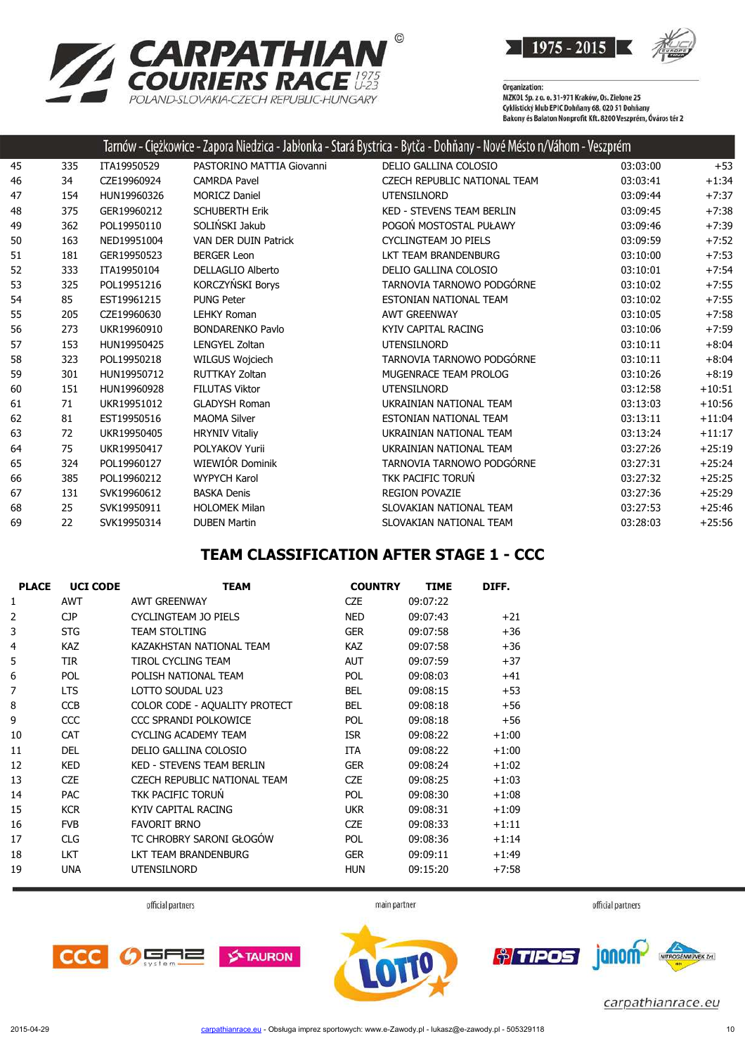



|    |     |             |                             | Tarnów - Ciężkowice - Zapora Niedzica - Jabłonka - Stará Bystrica - Bytča - Dohňany - Nové Mésto n/Váhom - Veszprém |          |          |
|----|-----|-------------|-----------------------------|---------------------------------------------------------------------------------------------------------------------|----------|----------|
| 45 | 335 | ITA19950529 | PASTORINO MATTIA Giovanni   | DELIO GALLINA COLOSIO                                                                                               | 03:03:00 | $+53$    |
| 46 | 34  | CZE19960924 | <b>CAMRDA Pavel</b>         | CZECH REPUBLIC NATIONAL TEAM                                                                                        | 03:03:41 | $+1:34$  |
| 47 | 154 | HUN19960326 | <b>MORICZ Daniel</b>        | <b>UTENSILNORD</b>                                                                                                  | 03:09:44 | $+7:37$  |
| 48 | 375 | GER19960212 | <b>SCHUBERTH Erik</b>       | KED - STEVENS TEAM BERLIN                                                                                           | 03:09:45 | $+7:38$  |
| 49 | 362 | POL19950110 | SOLIŃSKI Jakub              | POGOŃ MOSTOSTAL PUŁAWY                                                                                              | 03:09:46 | $+7:39$  |
| 50 | 163 | NED19951004 | <b>VAN DER DUIN Patrick</b> | <b>CYCLINGTEAM JO PIELS</b>                                                                                         | 03:09:59 | $+7:52$  |
| 51 | 181 | GER19950523 | <b>BERGER Leon</b>          | LKT TEAM BRANDENBURG                                                                                                | 03:10:00 | $+7:53$  |
| 52 | 333 | ITA19950104 | <b>DELLAGLIO Alberto</b>    | DELIO GALLINA COLOSIO                                                                                               | 03:10:01 | $+7:54$  |
| 53 | 325 | POL19951216 | KORCZYŃSKI Borys            | TARNOVIA TARNOWO PODGÓRNE                                                                                           | 03:10:02 | $+7:55$  |
| 54 | 85  | EST19961215 | <b>PUNG Peter</b>           | ESTONIAN NATIONAL TEAM                                                                                              | 03:10:02 | $+7:55$  |
| 55 | 205 | CZE19960630 | <b>LEHKY Roman</b>          | <b>AWT GREENWAY</b>                                                                                                 | 03:10:05 | $+7:58$  |
| 56 | 273 | UKR19960910 | <b>BONDARENKO Pavlo</b>     | KYIV CAPITAL RACING                                                                                                 | 03:10:06 | $+7:59$  |
| 57 | 153 | HUN19950425 | LENGYEL Zoltan              | <b>UTENSILNORD</b>                                                                                                  | 03:10:11 | $+8:04$  |
| 58 | 323 | POL19950218 | WILGUS Wojciech             | TARNOVIA TARNOWO PODGÓRNE                                                                                           | 03:10:11 | $+8:04$  |
| 59 | 301 | HUN19950712 | <b>RUTTKAY Zoltan</b>       | MUGENRACE TEAM PROLOG                                                                                               | 03:10:26 | $+8:19$  |
| 60 | 151 | HUN19960928 | <b>FILUTAS Viktor</b>       | <b>UTENSILNORD</b>                                                                                                  | 03:12:58 | $+10:51$ |
| 61 | 71  | UKR19951012 | <b>GLADYSH Roman</b>        | UKRAINIAN NATIONAL TEAM                                                                                             | 03:13:03 | $+10:56$ |
| 62 | 81  | EST19950516 | <b>MAOMA Silver</b>         | ESTONIAN NATIONAL TEAM                                                                                              | 03:13:11 | $+11:04$ |
| 63 | 72  | UKR19950405 | <b>HRYNIV Vitaliy</b>       | UKRAINIAN NATIONAL TEAM                                                                                             | 03:13:24 | $+11:17$ |
| 64 | 75  | UKR19950417 | POLYAKOV Yurii              | UKRAINIAN NATIONAL TEAM                                                                                             | 03:27:26 | $+25:19$ |
| 65 | 324 | POL19960127 | WIEWIÓR Dominik             | TARNOVIA TARNOWO PODGÓRNE                                                                                           | 03:27:31 | $+25:24$ |
| 66 | 385 | POL19960212 | <b>WYPYCH Karol</b>         | <b>TKK PACIFIC TORUN</b>                                                                                            | 03:27:32 | $+25:25$ |
| 67 | 131 | SVK19960612 | <b>BASKA Denis</b>          | <b>REGION POVAZIE</b>                                                                                               | 03:27:36 | $+25:29$ |
| 68 | 25  | SVK19950911 | <b>HOLOMEK Milan</b>        | SLOVAKIAN NATIONAL TEAM                                                                                             | 03:27:53 | $+25:46$ |
| 69 | 22  | SVK19950314 | <b>DUBEN Martin</b>         | SLOVAKIAN NATIONAL TEAM                                                                                             | 03:28:03 | $+25:56$ |

#### **TEAM CLASSIFICATION AFTER STAGE 1 - CCC**

| <b>PLACE</b> | <b>UCI CODE</b> | <b>TEAM</b>                         | <b>COUNTRY</b> | <b>TIME</b> | DIFF.   |
|--------------|-----------------|-------------------------------------|----------------|-------------|---------|
| 1            | <b>AWT</b>      | AWT GREENWAY                        | <b>CZE</b>     | 09:07:22    |         |
| 2            | <b>CJP</b>      | CYCLINGTEAM JO PIELS                | <b>NED</b>     | 09:07:43    | $+21$   |
| 3            | <b>STG</b>      | <b>TEAM STOLTING</b>                | <b>GER</b>     | 09:07:58    | +36     |
| 4            | <b>KAZ</b>      | KAZAKHSTAN NATIONAL TEAM            | <b>KAZ</b>     | 09:07:58    | $+36$   |
| 5            | <b>TIR</b>      | TIROL CYCLING TEAM                  | <b>AUT</b>     | 09:07:59    | +37     |
| 6            | <b>POL</b>      | POLISH NATIONAL TEAM                | <b>POL</b>     | 09:08:03    | $+41$   |
| 7            | <b>LTS</b>      | LOTTO SOUDAL U23                    | <b>BEL</b>     | 09:08:15    | $+53$   |
| 8            | <b>CCB</b>      | COLOR CODE - AQUALITY PROTECT       | <b>BEL</b>     | 09:08:18    | $+56$   |
| 9            | <b>CCC</b>      | CCC SPRANDI POLKOWICE               | <b>POL</b>     | 09:08:18    | +56     |
| 10           | <b>CAT</b>      | <b>CYCLING ACADEMY TEAM</b>         | <b>ISR</b>     | 09:08:22    | $+1:00$ |
| 11           | <b>DEL</b>      | DELIO GALLINA COLOSIO               | ITA            | 09:08:22    | $+1:00$ |
| 12           | <b>KED</b>      | <b>KED - STEVENS TEAM BERLIN</b>    | <b>GER</b>     | 09:08:24    | $+1:02$ |
| 13           | <b>CZE</b>      | <b>CZECH REPUBLIC NATIONAL TEAM</b> | <b>CZE</b>     | 09:08:25    | $+1:03$ |
| 14           | <b>PAC</b>      | <b>TKK PACIFIC TORUN</b>            | <b>POL</b>     | 09:08:30    | $+1:08$ |
| 15           | <b>KCR</b>      | KYIV CAPITAL RACING                 | <b>UKR</b>     | 09:08:31    | $+1:09$ |
| 16           | <b>FVB</b>      | <b>FAVORIT BRNO</b>                 | <b>CZE</b>     | 09:08:33    | $+1:11$ |
| 17           | <b>CLG</b>      | TC CHROBRY SARONI GŁOGÓW            | <b>POL</b>     | 09:08:36    | $+1:14$ |
| 18           | <b>LKT</b>      | LKT TEAM BRANDENBURG                | <b>GER</b>     | 09:09:11    | $+1:49$ |
| 19           | <b>UNA</b>      | <b>UTENSILNORD</b>                  | <b>HUN</b>     | 09:15:20    | $+7:58$ |





official partners



main partner

*<u>oliminal</u>* janom-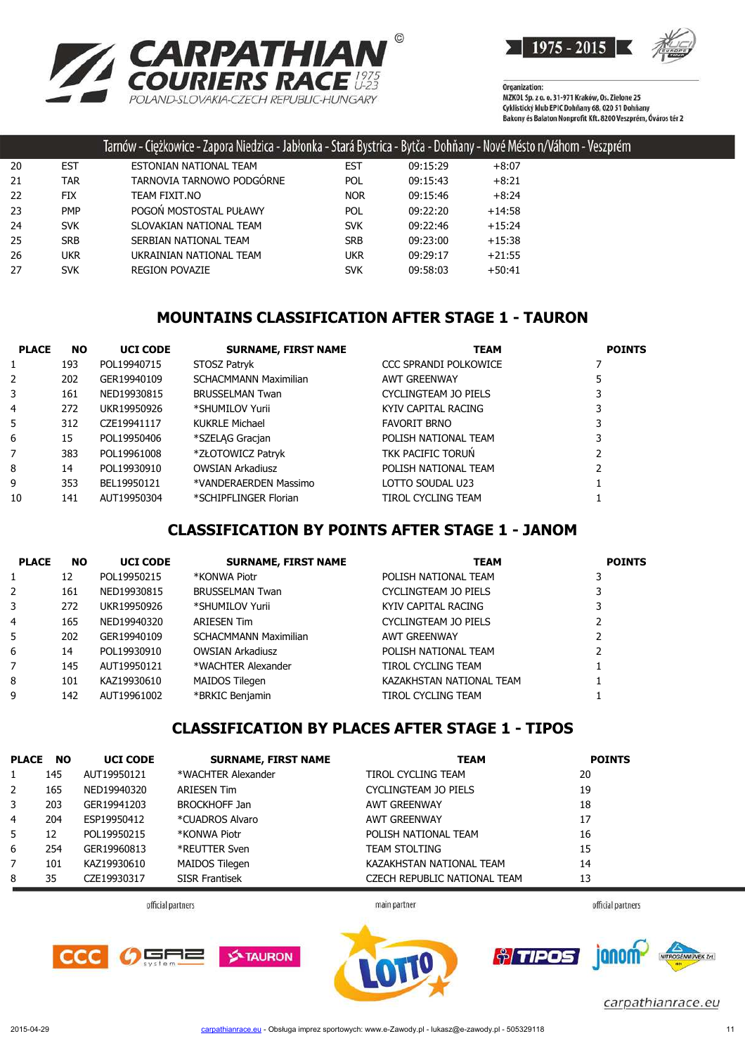



|    |            | Tarnów - Ciężkowice - Zapora Niedzica - Jabłonka - Stará Bystrica - Bytča - Dohňany - Nové Mésto n/Váhom - Veszprém |            |          |          |  |
|----|------------|---------------------------------------------------------------------------------------------------------------------|------------|----------|----------|--|
| 20 | <b>EST</b> | ESTONIAN NATIONAL TEAM                                                                                              | EST        | 09:15:29 | $+8:07$  |  |
| 21 | TAR        | TARNOVIA TARNOWO PODGORNE                                                                                           | POL.       | 09:15:43 | $+8:21$  |  |
| 22 | <b>FIX</b> | TEAM FIXIT.NO                                                                                                       | <b>NOR</b> | 09:15:46 | $+8:24$  |  |
| 23 | <b>PMP</b> | POGOŃ MOSTOSTAL PUŁAWY                                                                                              | <b>POL</b> | 09:22:20 | $+14:58$ |  |
| 24 | <b>SVK</b> | SLOVAKIAN NATIONAL TEAM                                                                                             | <b>SVK</b> | 09:22:46 | $+15:24$ |  |
| 25 | SRB        | SERBIAN NATIONAL TEAM                                                                                               | SRB        | 09:23:00 | $+15:38$ |  |
| 26 | UKR.       | UKRAINIAN NATIONAL TEAM                                                                                             | ukr        | 09:29:17 | $+21:55$ |  |
| 27 | <b>SVK</b> | <b>REGION POVAZIE</b>                                                                                               | <b>SVK</b> | 09:58:03 | $+50:41$ |  |

# **MOUNTAINS CLASSIFICATION AFTER STAGE 1 - TAURON**

| <b>PLACE</b> | <b>NO</b> | <b>UCI CODE</b> | <b>SURNAME, FIRST NAME</b>   | <b>TEAM</b>           | <b>POINTS</b> |
|--------------|-----------|-----------------|------------------------------|-----------------------|---------------|
| 1            | 193       | POL19940715     | STOSZ Patryk                 | CCC SPRANDI POLKOWICE |               |
| 2            | 202       | GER19940109     | <b>SCHACMMANN Maximilian</b> | AWT GREENWAY          |               |
| 3            | 161       | NED19930815     | <b>BRUSSELMAN Twan</b>       | CYCLINGTEAM JO PIELS  |               |
| 4            | 272       | UKR19950926     | *SHUMILOV Yurii              | KYIV CAPITAL RACING   |               |
| 5            | 312       | CZE19941117     | <b>KUKRLE Michael</b>        | <b>FAVORIT BRNO</b>   |               |
| 6            | 15        | POL19950406     | *SZELAG Gracjan              | POLISH NATIONAL TEAM  | 3             |
| 7            | 383       | POL19961008     | *ZŁOTOWICZ Patryk            | TKK PACIFIC TORUN     |               |
| 8            | 14        | POL19930910     | <b>OWSIAN Arkadiusz</b>      | POLISH NATIONAL TEAM  |               |
| 9            | 353       | BEL19950121     | *VANDERAERDEN Massimo        | LOTTO SOUDAL U23      |               |
| 10           | 141       | AUT19950304     | *SCHIPFLINGER Florian        | TIROL CYCLING TEAM    |               |

## **CLASSIFICATION BY POINTS AFTER STAGE 1 - JANOM**

| <b>PLACE</b>   | <b>NO</b> | <b>UCI CODE</b> | <b>SURNAME, FIRST NAME</b>   | <b>TEAM</b>              | <b>POINTS</b> |
|----------------|-----------|-----------------|------------------------------|--------------------------|---------------|
| 1              | 12        | POL19950215     | *KONWA Piotr                 | POLISH NATIONAL TEAM     |               |
| 2              | 161       | NED19930815     | <b>BRUSSELMAN Twan</b>       | CYCLINGTEAM JO PIELS     |               |
| 3              | 272       | UKR19950926     | *SHUMILOV Yurii              | KYIV CAPITAL RACING      |               |
| $\overline{4}$ | 165       | NED19940320     | <b>ARIESEN Tim</b>           | CYCLINGTEAM JO PIELS     |               |
| 5              | 202       | GER19940109     | <b>SCHACMMANN Maximilian</b> | AWT GREENWAY             |               |
| 6              | 14        | POL19930910     | <b>OWSIAN Arkadiusz</b>      | POLISH NATIONAL TEAM     |               |
| 7              | 145       | AUT19950121     | *WACHTER Alexander           | TIROL CYCLING TEAM       |               |
| 8              | 101       | KAZ19930610     | MAIDOS Tilegen               | KAZAKHSTAN NATIONAL TEAM |               |
| 9              | 142       | AUT19961002     | *BRKIC Benjamin              | TIROL CYCLING TEAM       |               |

#### **CLASSIFICATION BY PLACES AFTER STAGE 1 - TIPOS**

| <b>PLACE</b> | <b>NO</b> | <b>UCI CODE</b> | <b>SURNAME, FIRST NAME</b> | <b>TEAM</b>                  | <b>POINTS</b> |
|--------------|-----------|-----------------|----------------------------|------------------------------|---------------|
|              | 145       | AUT19950121     | *WACHTER Alexander         | TIROL CYCLING TEAM           | 20            |
| 2            | 165       | NED19940320     | <b>ARIESEN Tim</b>         | CYCLINGTEAM JO PIELS         | 19            |
| 3            | 203       | GER19941203     | <b>BROCKHOFF Jan</b>       | AWT GREENWAY                 | 18            |
| 4            | 204       | ESP19950412     | *CUADROS Alvaro            | <b>AWT GREENWAY</b>          | 17            |
| .5.          | 12        | POL19950215     | *KONWA Piotr               | POLISH NATIONAL TEAM         | 16            |
| 6            | 254       | GER19960813     | *REUTTER Sven              | <b>TEAM STOLTING</b>         | 15            |
| 7            | 101       | KAZ19930610     | <b>MAIDOS Tilegen</b>      | KAZAKHSTAN NATIONAL TEAM     | 14            |
| 8            | 35        | CZE19930317     | <b>SISR Frantisek</b>      | CZECH REPUBLIC NATIONAL TEAM | 13            |

official partners

main partner

official partners





*†TIPOS* janom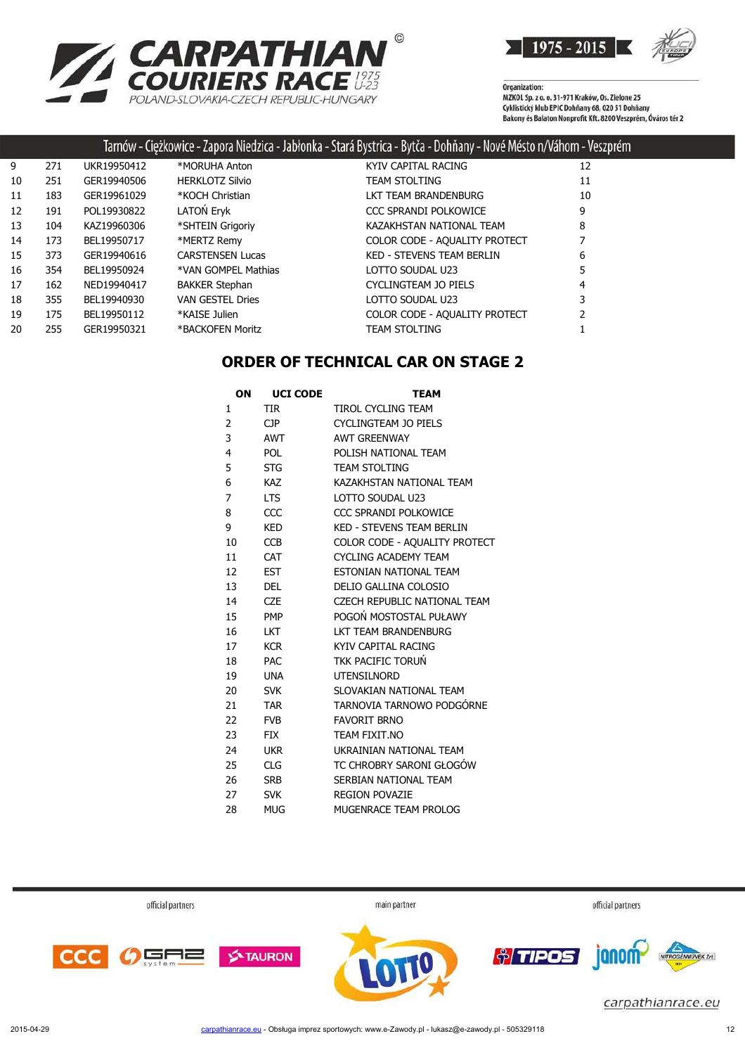



#### Tarnów - Ciężkowice - Zapora Niedzica - Jabłonka - Stará Bystrica - Bytča - Dohňany - Nové Mésto n/Váhom - Veszprém

| 9  | 271 | UKR19950412 | *MORUHA Anton           | KYIV CAPITAL RACING              | 12 |
|----|-----|-------------|-------------------------|----------------------------------|----|
| 10 | 251 | GER19940506 | <b>HERKLOTZ Silvio</b>  | <b>TEAM STOLTING</b>             | 11 |
| 11 | 183 | GER19961029 | *KOCH Christian         | LKT TEAM BRANDENBURG             | 10 |
| 12 | 191 | POL19930822 | LATON Eryk              | CCC SPRANDI POLKOWICE            | 9  |
| 13 | 104 | KAZ19960306 | *SHTEIN Grigoriy        | KAZAKHSTAN NATIONAL TEAM         | 8  |
| 14 | 173 | BEL19950717 | *MERTZ Remy             | COLOR CODE - AQUALITY PROTECT    |    |
| 15 | 373 | GER19940616 | <b>CARSTENSEN Lucas</b> | <b>KED - STEVENS TEAM BERLIN</b> | 6  |
| 16 | 354 | BEL19950924 | *VAN GOMPEL Mathias     | LOTTO SOUDAL U23                 | 5  |
| 17 | 162 | NED19940417 | <b>BAKKER Stephan</b>   | CYCLINGTEAM JO PIELS             | 4  |
| 18 | 355 | BEL19940930 | <b>VAN GESTEL Dries</b> | LOTTO SOUDAL U23                 |    |
| 19 | 175 | BEL19950112 | *KAISE Julien           | COLOR CODE - AQUALITY PROTECT    |    |
| 20 | 255 | GER19950321 | *BACKOFEN Moritz        | <b>TEAM STOLTING</b>             |    |
|    |     |             |                         |                                  |    |

#### **ORDER OF TECHNICAL CAR ON STAGE 2**

| ΟN | <b>UCI CODE</b> | <b>TEAM</b>                      |
|----|-----------------|----------------------------------|
| 1  | <b>TIR</b>      | TIROL CYCLING TEAM               |
| 2  | <b>CJP</b>      | <b>CYCLINGTEAM JO PIELS</b>      |
| 3  | <b>AWT</b>      | <b>AWT GREENWAY</b>              |
| 4  | <b>POL</b>      | POLISH NATIONAL TEAM             |
| 5  | <b>STG</b>      | <b>TEAM STOLTING</b>             |
| 6  | <b>KAZ</b>      | KAZAKHSTAN NATIONAL TEAM         |
| 7  | <b>LTS</b>      | LOTTO SOUDAL U23                 |
| 8  | CCC             | CCC SPRANDI POLKOWICE            |
| 9  | <b>KED</b>      | <b>KED - STEVENS TEAM BERLIN</b> |
| 10 | <b>CCB</b>      | COLOR CODE - AQUALITY PROTECT    |
| 11 | <b>CAT</b>      | <b>CYCLING ACADEMY TEAM</b>      |
| 12 | <b>EST</b>      | <b>FSTONIAN NATIONAL TFAM</b>    |
| 13 | DEL             | DELIO GALLINA COLOSIO            |
| 14 | <b>CZE</b>      | CZECH REPUBLIC NATIONAL TEAM     |
| 15 | <b>PMP</b>      | POGOŃ MOSTOSTAL PUŁAWY           |
| 16 | <b>LKT</b>      | LKT TEAM BRANDENBURG             |
| 17 | <b>KCR</b>      | KYTV CAPITAL RACING              |
| 18 | <b>PAC</b>      | <b>TKK PACIFIC TORUN</b>         |
| 19 | <b>UNA</b>      | <b>UTENSILNORD</b>               |
| 20 | <b>SVK</b>      | SLOVAKIAN NATIONAL TEAM          |
| 21 | <b>TAR</b>      | TARNOVIA TARNOWO PODGÓRNE        |
| 22 | <b>FVB</b>      | <b>FAVORIT BRNO</b>              |
| 23 | <b>FIX</b>      | TEAM FIXIT.NO                    |
| 24 | <b>UKR</b>      | UKRAINIAN NATIONAL TEAM          |
| 25 | <b>CLG</b>      | TC CHROBRY SARONI GŁOGÓW         |
| 26 | <b>SRB</b>      | SERBIAN NATIONAL TEAM            |
| 27 | <b>SVK</b>      | <b>REGION POVAZIE</b>            |
| 28 | <b>MUG</b>      | MUGENRACE TEAM PROLOG            |

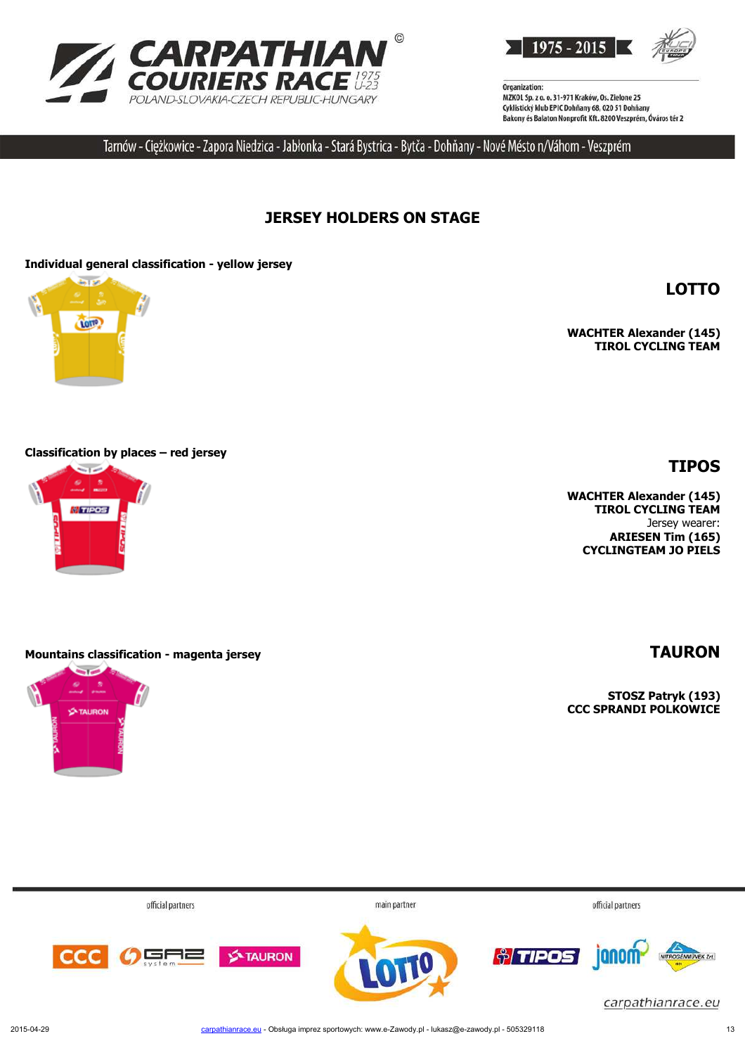



Tarnów - Ciężkowice - Zapora Niedzica - Jabłonka - Stará Bystrica - Bytča - Dohňany - Nové Mésto n/Váhom - Veszprém

# **JERSEY HOLDERS ON STAGE**

#### **Individual general classification - yellow jersey**



**WACHTER Alexander (145) TIROL CYCLING TEAM**

**LOTTO**

**TIPOS**

#### **Classification by places – red jersey**



#### **Mountains classification - magenta jersey TAURON**



**WACHTER Alexander (145) TIROL CYCLING TEAM** Jersey wearer: **ARIESEN Tim (165) CYCLINGTEAM JO PIELS**

**STOSZ Patryk (193) CCC SPRANDI POLKOWICE**